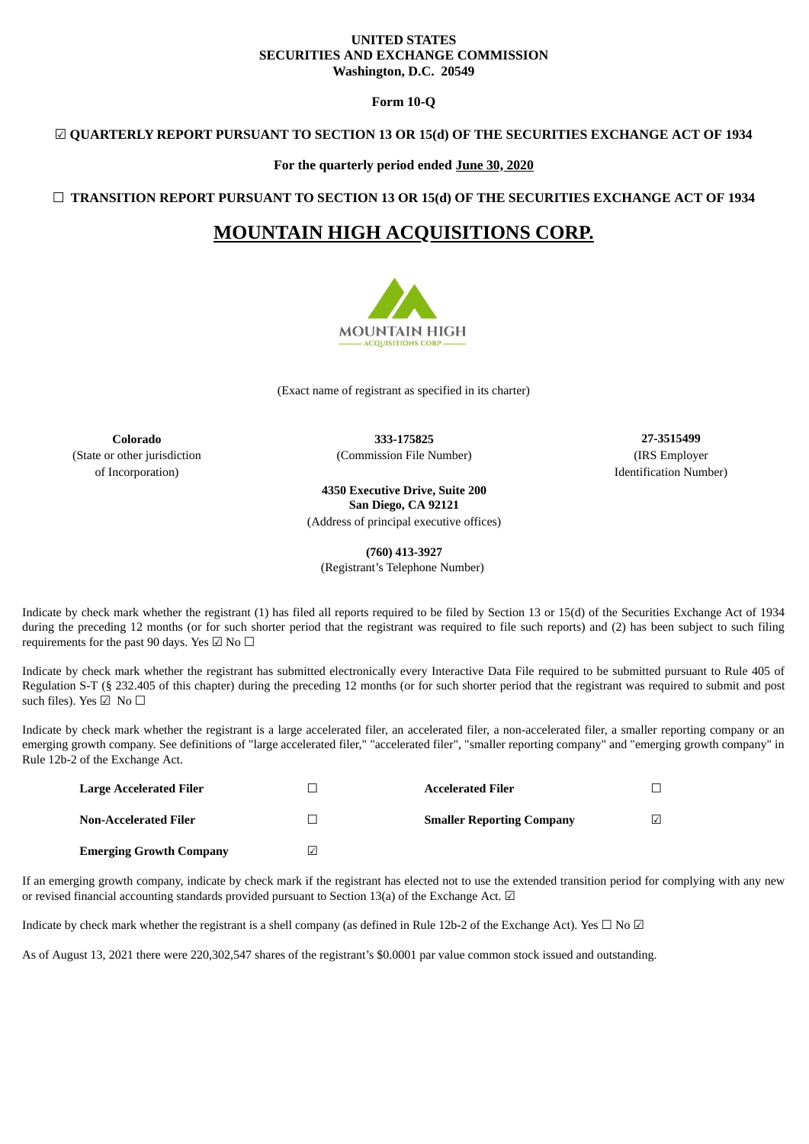# **UNITED STATES SECURITIES AND EXCHANGE COMMISSION Washington, D.C. 20549**

**Form 10-Q**

# ☑ **QUARTERLY REPORT PURSUANT TO SECTION 13 OR 15(d) OF THE SECURITIES EXCHANGE ACT OF 1934**

**For the quarterly period ended June 30, 2020**

☐ **TRANSITION REPORT PURSUANT TO SECTION 13 OR 15(d) OF THE SECURITIES EXCHANGE ACT OF 1934**

# **MOUNTAIN HIGH ACQUISITIONS CORP.**



(Exact name of registrant as specified in its charter)

**Colorado 333-175825 27-3515499** (State or other jurisdiction (Commission File Number) (IRS Employer

of Incorporation) and Identification Number) and Identification Number of Incorporation Number

**4350 Executive Drive, Suite 200 San Diego, CA 92121**

(Address of principal executive offices)

**(760) 413-3927**

(Registrant's Telephone Number)

Indicate by check mark whether the registrant (1) has filed all reports required to be filed by Section 13 or 15(d) of the Securities Exchange Act of 1934 during the preceding 12 months (or for such shorter period that the registrant was required to file such reports) and (2) has been subject to such filing requirements for the past 90 days. Yes  $\Box$  No  $\Box$ 

Indicate by check mark whether the registrant has submitted electronically every Interactive Data File required to be submitted pursuant to Rule 405 of Regulation S-T (§ 232.405 of this chapter) during the preceding 12 months (or for such shorter period that the registrant was required to submit and post such files). Yes ☑ No  $□$ 

Indicate by check mark whether the registrant is a large accelerated filer, an accelerated filer, a non-accelerated filer, a smaller reporting company or an emerging growth company. See definitions of "large accelerated filer," "accelerated filer", "smaller reporting company" and "emerging growth company" in Rule 12b-2 of the Exchange Act.

| <b>Large Accelerated Filer</b> | <b>Accelerated Filer</b>         |            |
|--------------------------------|----------------------------------|------------|
| <b>Non-Accelerated Filer</b>   | <b>Smaller Reporting Company</b> | $\sqrt{ }$ |
| <b>Emerging Growth Company</b> |                                  |            |

If an emerging growth company, indicate by check mark if the registrant has elected not to use the extended transition period for complying with any new or revised financial accounting standards provided pursuant to Section 13(a) of the Exchange Act. ☑

Indicate by check mark whether the registrant is a shell company (as defined in Rule 12b-2 of the Exchange Act). Yes  $\Box$  No  $\Box$ 

As of August 13, 2021 there were 220,302,547 shares of the registrant's \$0.0001 par value common stock issued and outstanding.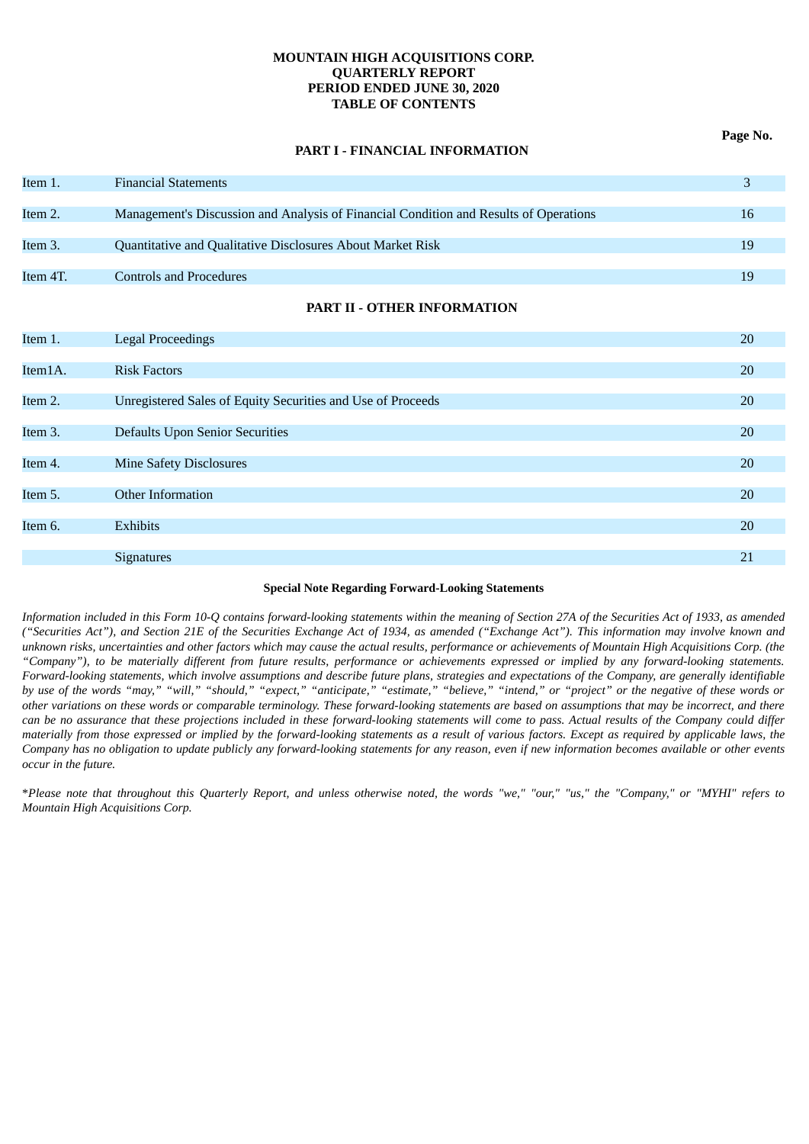# **MOUNTAIN HIGH ACQUISITIONS CORP. QUARTERLY REPORT PERIOD ENDED JUNE 30, 2020 TABLE OF CONTENTS**

# **Page No.**

#### **PART I - FINANCIAL INFORMATION**

| Item 1.  | <b>Financial Statements</b>                                                           |    |
|----------|---------------------------------------------------------------------------------------|----|
|          |                                                                                       |    |
| Item 2.  | Management's Discussion and Analysis of Financial Condition and Results of Operations | 16 |
|          |                                                                                       |    |
| Item 3.  | Quantitative and Qualitative Disclosures About Market Risk                            | 19 |
|          |                                                                                       |    |
| Item 4T. | <b>Controls and Procedures</b>                                                        | 19 |
|          |                                                                                       |    |

# **PART II - OTHER INFORMATION**

| Item 1. | <b>Legal Proceedings</b>                                    | 20 |
|---------|-------------------------------------------------------------|----|
|         |                                                             |    |
| Item1A. | <b>Risk Factors</b>                                         | 20 |
|         |                                                             |    |
| Item 2. | Unregistered Sales of Equity Securities and Use of Proceeds | 20 |
|         |                                                             |    |
| Item 3. | <b>Defaults Upon Senior Securities</b>                      | 20 |
|         |                                                             |    |
| Item 4. | <b>Mine Safety Disclosures</b>                              | 20 |
|         |                                                             |    |
| Item 5. | Other Information                                           | 20 |
|         |                                                             |    |
| Item 6. | <b>Exhibits</b>                                             | 20 |
|         |                                                             |    |
|         | Signatures                                                  | 21 |

#### **Special Note Regarding Forward-Looking Statements**

Information included in this Form 10-Q contains forward-looking statements within the meaning of Section 27A of the Securities Act of 1933, as amended ("Securities Act"), and Section 21E of the Securities Exchange Act of 1934, as amended ("Exchange Act"). This information may involve known and unknown risks, uncertainties and other factors which may cause the actual results, performance or achievements of Mountain High Acquisitions Corp. (the "Company"), to be materially different from future results, performance or achievements expressed or implied by any forward-looking statements. Forward-looking statements, which involve assumptions and describe future plans, strategies and expectations of the Company, are generally identifiable by use of the words "may," "will," "should," "expect," "anticipate," "estimate," "believe," "intend," or "project" or the negative of these words or other variations on these words or comparable terminology. These forward-looking statements are based on assumptions that may be incorrect, and there can be no assurance that these projections included in these forward-looking statements will come to pass. Actual results of the Company could differ materially from those expressed or implied by the forward-looking statements as a result of various factors. Except as required by applicable laws, the Company has no obligation to update publicly any forward-looking statements for any reason, even if new information becomes available or other events *occur in the future.*

\*Please note that throughout this Quarterly Report, and unless otherwise noted, the words "we," "our," "us," the "Company," or "MYHI" refers to *Mountain High Acquisitions Corp.*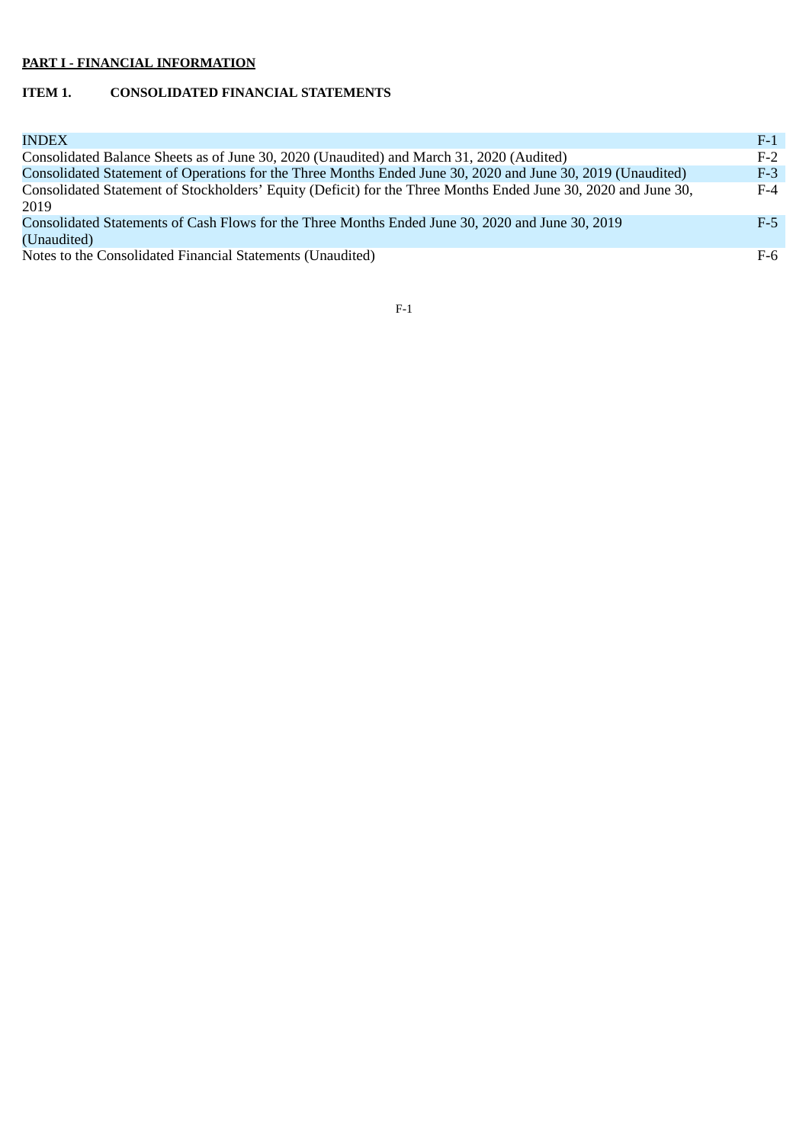# **PART I - FINANCIAL INFORMATION**

# **ITEM 1. CONSOLIDATED FINANCIAL STATEMENTS**

| <b>INDEX</b>                                                                                                   | $F-1$ |
|----------------------------------------------------------------------------------------------------------------|-------|
| Consolidated Balance Sheets as of June 30, 2020 (Unaudited) and March 31, 2020 (Audited)                       | $F-2$ |
| Consolidated Statement of Operations for the Three Months Ended June 30, 2020 and June 30, 2019 (Unaudited)    | $F-3$ |
| Consolidated Statement of Stockholders' Equity (Deficit) for the Three Months Ended June 30, 2020 and June 30, | $F-4$ |
| 2019                                                                                                           |       |
| Consolidated Statements of Cash Flows for the Three Months Ended June 30, 2020 and June 30, 2019               | $F-5$ |
| (Unaudited)                                                                                                    |       |
| Motos to the Consolidated Einengial Ctatements (Hnoudited)                                                     | E C   |

Notes to the Consolidated Financial Statements (Unaudited) F-6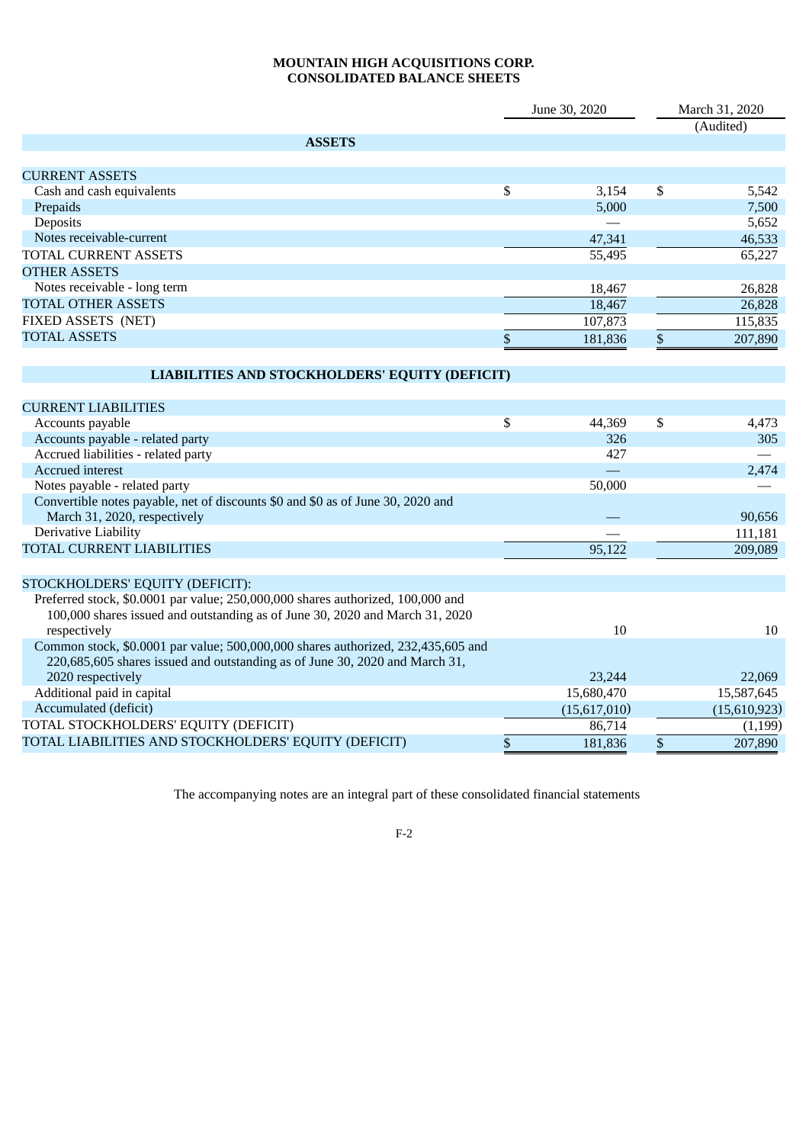# **MOUNTAIN HIGH ACQUISITIONS CORP. CONSOLIDATED BALANCE SHEETS**

|                                                | June 30, 2020 |         | March 31, 2020 |           |
|------------------------------------------------|---------------|---------|----------------|-----------|
|                                                |               |         |                | (Audited) |
| <b>ASSETS</b>                                  |               |         |                |           |
|                                                |               |         |                |           |
| <b>CURRENT ASSETS</b>                          |               |         |                |           |
| Cash and cash equivalents                      | \$            | 3,154   | \$             | 5,542     |
| Prepaids                                       |               | 5,000   |                | 7,500     |
| Deposits                                       |               |         |                | 5,652     |
| Notes receivable-current                       |               | 47,341  |                | 46,533    |
| TOTAL CURRENT ASSETS                           |               | 55,495  |                | 65,227    |
| <b>OTHER ASSETS</b>                            |               |         |                |           |
| Notes receivable - long term                   |               | 18,467  |                | 26,828    |
| <b>TOTAL OTHER ASSETS</b>                      |               | 18,467  |                | 26,828    |
| FIXED ASSETS (NET)                             |               | 107,873 |                | 115,835   |
| <b>TOTAL ASSETS</b>                            |               | 181,836 | \$             | 207,890   |
|                                                |               |         |                |           |
| LIABILITIES AND STOCKHOLDERS' EQUITY (DEFICIT) |               |         |                |           |

| <b>CURRENT LIABILITIES</b>                                                       |               |    |              |
|----------------------------------------------------------------------------------|---------------|----|--------------|
| Accounts payable                                                                 | \$<br>44,369  | S. | 4,473        |
| Accounts payable - related party                                                 | 326           |    | 305          |
| Accrued liabilities - related party                                              | 427           |    |              |
| Accrued interest                                                                 |               |    | 2,474        |
| Notes payable - related party                                                    | 50,000        |    |              |
| Convertible notes payable, net of discounts \$0 and \$0 as of June 30, 2020 and  |               |    |              |
| March 31, 2020, respectively                                                     |               |    | 90,656       |
| Derivative Liability                                                             |               |    | 111,181      |
| TOTAL CURRENT LIABILITIES                                                        | 95,122        |    | 209,089      |
|                                                                                  |               |    |              |
| STOCKHOLDERS' EQUITY (DEFICIT):                                                  |               |    |              |
| Preferred stock, \$0.0001 par value; 250,000,000 shares authorized, 100,000 and  |               |    |              |
| 100,000 shares issued and outstanding as of June 30, 2020 and March 31, 2020     |               |    |              |
| respectively                                                                     | 10            |    | 10           |
| Common stock, \$0.0001 par value; 500,000,000 shares authorized, 232,435,605 and |               |    |              |
| 220,685,605 shares issued and outstanding as of June 30, 2020 and March 31,      |               |    |              |
| 2020 respectively                                                                | 23,244        |    | 22,069       |
| Additional paid in capital                                                       | 15,680,470    |    | 15,587,645   |
| Accumulated (deficit)                                                            | (15,617,010)  |    | (15,610,923) |
| TOTAL STOCKHOLDERS' EQUITY (DEFICIT)                                             | 86,714        |    | (1,199)      |
| TOTAL LIABILITIES AND STOCKHOLDERS' EQUITY (DEFICIT)                             | \$<br>181,836 | \$ | 207,890      |
|                                                                                  |               |    |              |

The accompanying notes are an integral part of these consolidated financial statements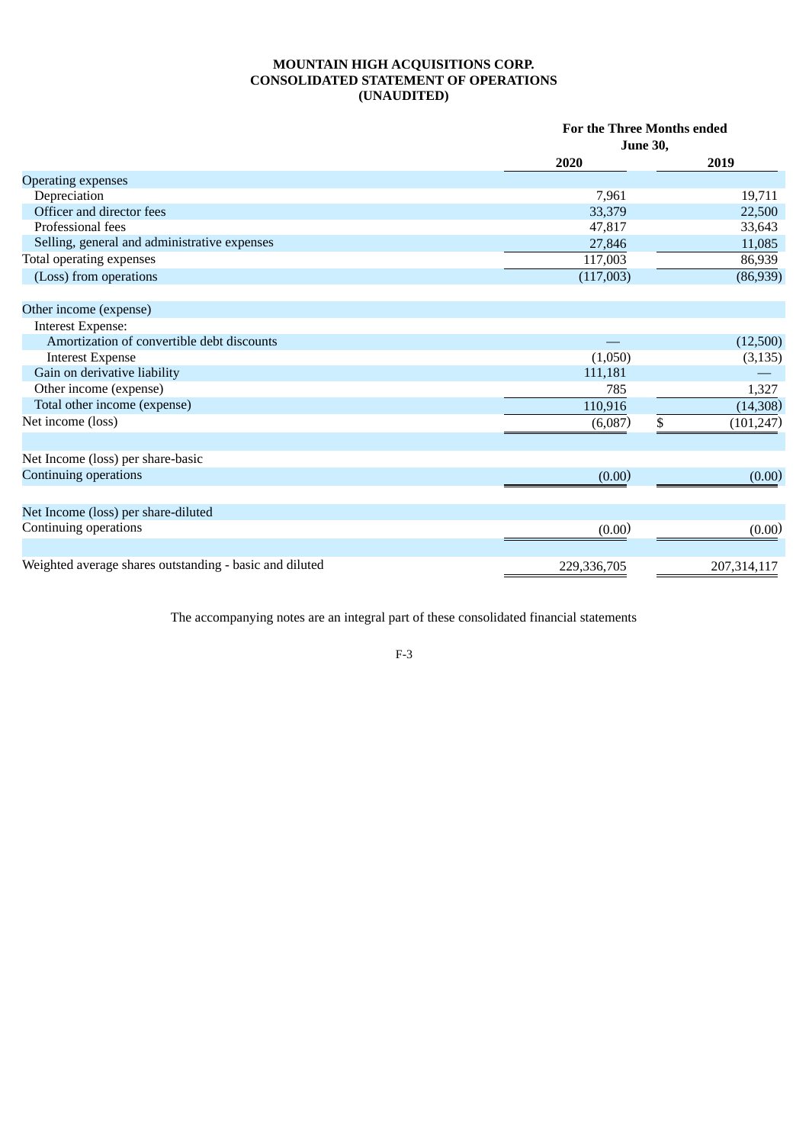# **MOUNTAIN HIGH ACQUISITIONS CORP. CONSOLIDATED STATEMENT OF OPERATIONS (UNAUDITED)**

|                                                         |             | <b>For the Three Months ended</b><br><b>June 30,</b> |  |  |  |
|---------------------------------------------------------|-------------|------------------------------------------------------|--|--|--|
|                                                         | 2020        | 2019                                                 |  |  |  |
| Operating expenses                                      |             |                                                      |  |  |  |
| Depreciation                                            | 7,961       | 19,711                                               |  |  |  |
| Officer and director fees                               | 33,379      | 22,500                                               |  |  |  |
| Professional fees                                       | 47,817      | 33,643                                               |  |  |  |
| Selling, general and administrative expenses            | 27,846      | 11,085                                               |  |  |  |
| Total operating expenses                                | 117,003     | 86,939                                               |  |  |  |
| (Loss) from operations                                  | (117,003)   | (86,939)                                             |  |  |  |
| Other income (expense)                                  |             |                                                      |  |  |  |
| <b>Interest Expense:</b>                                |             |                                                      |  |  |  |
| Amortization of convertible debt discounts              |             | (12,500)                                             |  |  |  |
| <b>Interest Expense</b>                                 | (1,050)     | (3, 135)                                             |  |  |  |
| Gain on derivative liability                            | 111,181     |                                                      |  |  |  |
| Other income (expense)                                  | 785         | 1,327                                                |  |  |  |
| Total other income (expense)                            | 110,916     | (14, 308)                                            |  |  |  |
| Net income (loss)                                       | (6,087)     | (101, 247)<br>\$                                     |  |  |  |
| Net Income (loss) per share-basic                       |             |                                                      |  |  |  |
| Continuing operations                                   | (0.00)      | (0.00)                                               |  |  |  |
| Net Income (loss) per share-diluted                     |             |                                                      |  |  |  |
| Continuing operations                                   | (0.00)      | (0.00)                                               |  |  |  |
| Weighted average shares outstanding - basic and diluted | 229,336,705 | 207,314,117                                          |  |  |  |

The accompanying notes are an integral part of these consolidated financial statements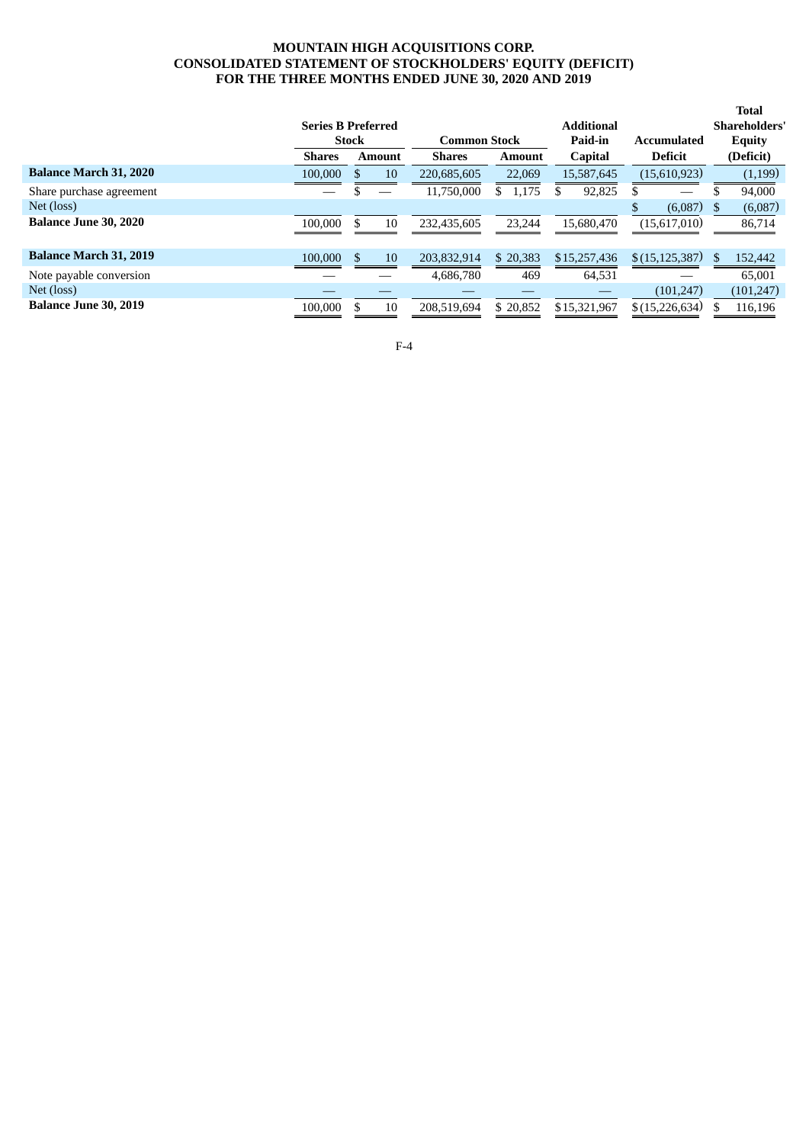# **MOUNTAIN HIGH ACQUISITIONS CORP. CONSOLIDATED STATEMENT OF STOCKHOLDERS' EQUITY (DEFICIT) FOR THE THREE MONTHS ENDED JUNE 30, 2020 AND 2019**

|                               |                           |              |    |               |                                |                   |                  |  |   | <b>Total</b>         |
|-------------------------------|---------------------------|--------------|----|---------------|--------------------------------|-------------------|------------------|--|---|----------------------|
|                               | <b>Series B Preferred</b> |              |    |               |                                | <b>Additional</b> |                  |  |   | <b>Shareholders'</b> |
|                               |                           | <b>Stock</b> |    |               | Paid-in<br><b>Common Stock</b> |                   | Accumulated      |  |   | <b>Equity</b>        |
|                               | <b>Shares</b>             | Amount       |    | <b>Shares</b> | <b>Amount</b>                  | <b>Capital</b>    | <b>Deficit</b>   |  |   | (Deficit)            |
| <b>Balance March 31, 2020</b> | 100,000                   |              | 10 | 220,685,605   | 22,069                         | 15,587,645        | (15,610,923)     |  |   | (1,199)              |
| Share purchase agreement      |                           |              |    | 11,750,000    | \$1,175                        | 92,825            |                  |  | Œ | 94,000               |
| Net (loss)                    |                           |              |    |               |                                |                   | $(6,087)$ \$     |  |   | (6,087)              |
| <b>Balance June 30, 2020</b>  | 100,000                   |              | 10 | 232,435,605   | 23,244                         | 15.680.470        | (15.617.010)     |  |   | 86,714               |
|                               |                           |              |    |               |                                |                   |                  |  |   |                      |
| <b>Balance March 31, 2019</b> | 100,000                   |              | 10 | 203,832,914   | \$20,383                       | \$15,257,436      | \$(15, 125, 387) |  |   | 152,442              |
| Note payable conversion       |                           |              |    | 4,686,780     | 469                            | 64.531            |                  |  |   | 65,001               |
| Net (loss)                    |                           |              |    |               |                                |                   | (101, 247)       |  |   | (101, 247)           |
| <b>Balance June 30, 2019</b>  | 100,000                   |              | 10 | 208.519.694   | \$20,852                       | \$15,321,967      | \$(15,226,634)   |  |   | 116,196              |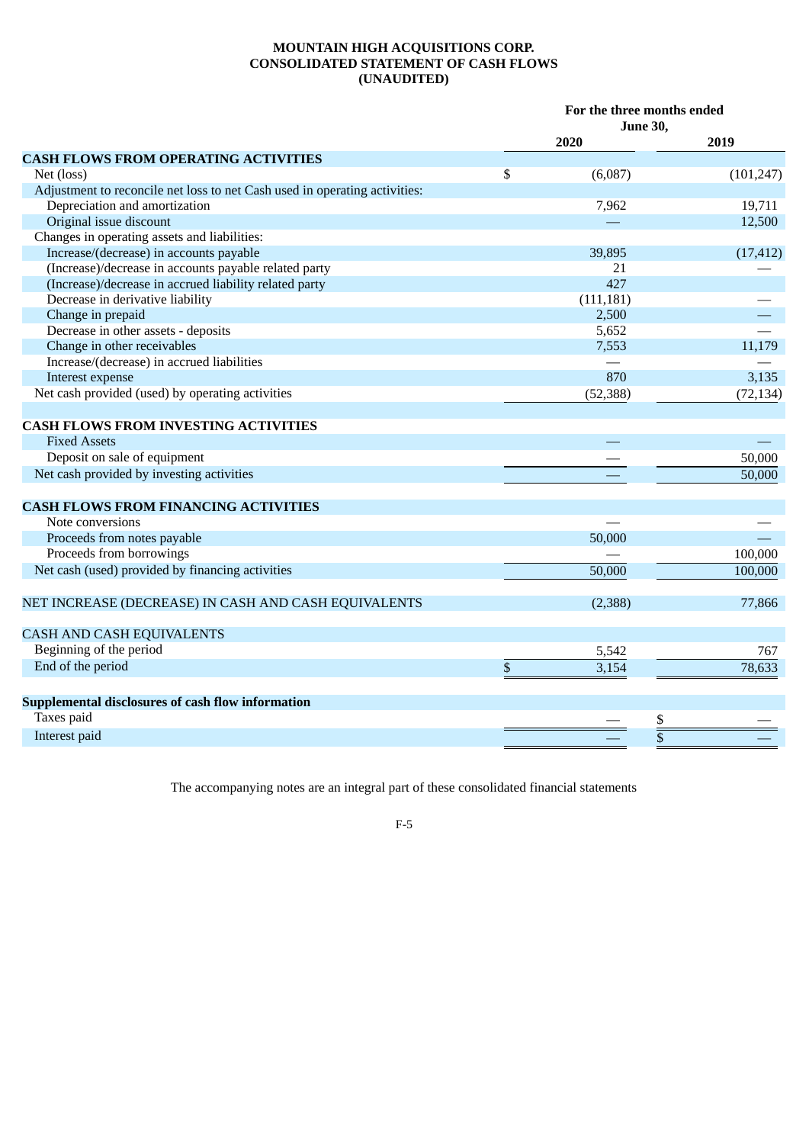# **MOUNTAIN HIGH ACQUISITIONS CORP. CONSOLIDATED STATEMENT OF CASH FLOWS (UNAUDITED)**

| 2020<br><b>CASH FLOWS FROM OPERATING ACTIVITIES</b>                        | 2019<br>(101, 247) |
|----------------------------------------------------------------------------|--------------------|
|                                                                            |                    |
|                                                                            |                    |
| \$<br>(6,087)<br>Net (loss)                                                |                    |
| Adjustment to reconcile net loss to net Cash used in operating activities: |                    |
| Depreciation and amortization<br>7,962                                     | 19,711             |
| Original issue discount                                                    | 12,500             |
| Changes in operating assets and liabilities:                               |                    |
| Increase/(decrease) in accounts payable<br>39,895                          | (17, 412)          |
| (Increase)/decrease in accounts payable related party<br>21                |                    |
| (Increase)/decrease in accrued liability related party<br>427              |                    |
| Decrease in derivative liability<br>(111, 181)                             |                    |
| 2,500<br>Change in prepaid                                                 |                    |
| Decrease in other assets - deposits<br>5,652                               |                    |
| Change in other receivables<br>7,553                                       | 11,179             |
| Increase/(decrease) in accrued liabilities                                 |                    |
| 870<br>Interest expense                                                    | 3,135              |
| Net cash provided (used) by operating activities<br>(52, 388)              | (72, 134)          |
| <b>CASH FLOWS FROM INVESTING ACTIVITIES</b>                                |                    |
| <b>Fixed Assets</b>                                                        |                    |
| Deposit on sale of equipment                                               | 50,000             |
| Net cash provided by investing activities                                  | 50,000             |
|                                                                            |                    |
| <b>CASH FLOWS FROM FINANCING ACTIVITIES</b>                                |                    |
| Note conversions                                                           |                    |
| Proceeds from notes payable<br>50,000                                      |                    |
| Proceeds from borrowings                                                   | 100,000            |
| Net cash (used) provided by financing activities<br>50,000                 | 100,000            |
| NET INCREASE (DECREASE) IN CASH AND CASH EQUIVALENTS<br>(2,388)            | 77,866             |
| <b>CASH AND CASH EQUIVALENTS</b>                                           |                    |
| Beginning of the period<br>5,542                                           | 767                |
| End of the period<br>\$<br>3,154                                           | 78,633             |
|                                                                            |                    |
| Supplemental disclosures of cash flow information                          |                    |
| Taxes paid<br>\$                                                           |                    |
| Interest paid                                                              |                    |

The accompanying notes are an integral part of these consolidated financial statements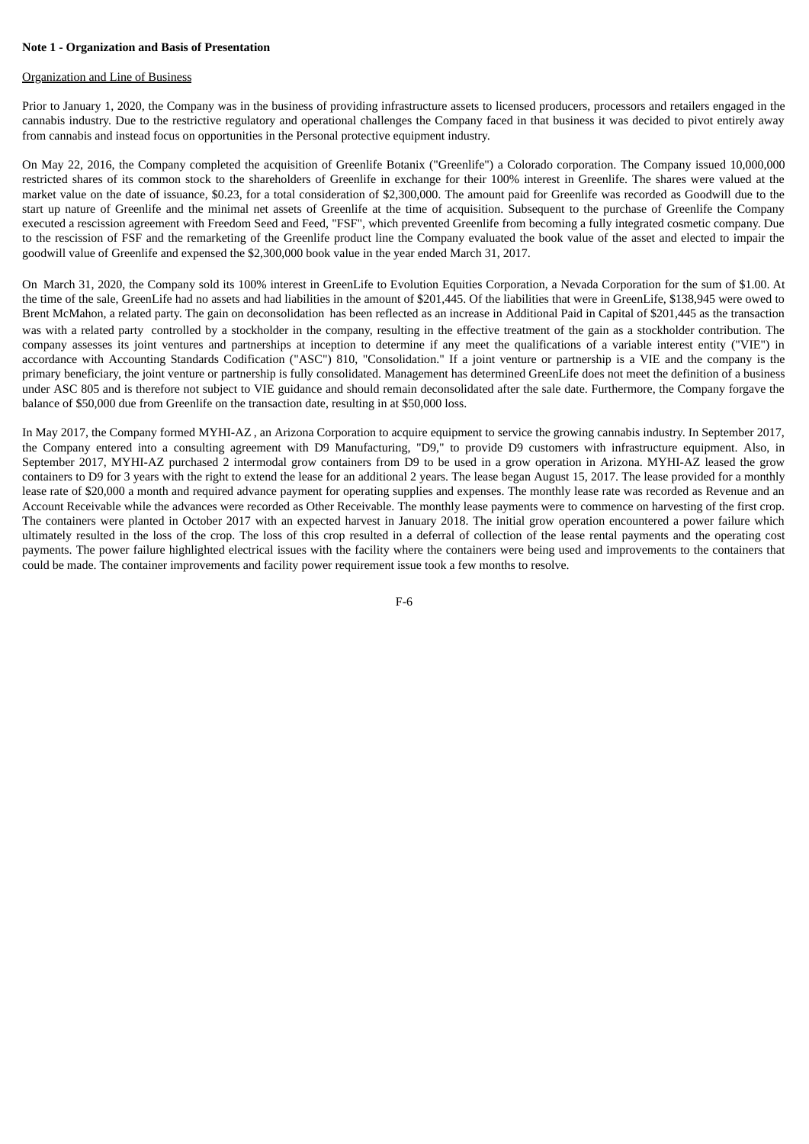### **Note 1 - Organization and Basis of Presentation**

#### Organization and Line of Business

Prior to January 1, 2020, the Company was in the business of providing infrastructure assets to licensed producers, processors and retailers engaged in the cannabis industry. Due to the restrictive regulatory and operational challenges the Company faced in that business it was decided to pivot entirely away from cannabis and instead focus on opportunities in the Personal protective equipment industry.

On May 22, 2016, the Company completed the acquisition of Greenlife Botanix ("Greenlife") a Colorado corporation. The Company issued 10,000,000 restricted shares of its common stock to the shareholders of Greenlife in exchange for their 100% interest in Greenlife. The shares were valued at the market value on the date of issuance, \$0.23, for a total consideration of \$2,300,000. The amount paid for Greenlife was recorded as Goodwill due to the start up nature of Greenlife and the minimal net assets of Greenlife at the time of acquisition. Subsequent to the purchase of Greenlife the Company executed a rescission agreement with Freedom Seed and Feed, "FSF", which prevented Greenlife from becoming a fully integrated cosmetic company. Due to the rescission of FSF and the remarketing of the Greenlife product line the Company evaluated the book value of the asset and elected to impair the goodwill value of Greenlife and expensed the \$2,300,000 book value in the year ended March 31, 2017.

On March 31, 2020, the Company sold its 100% interest in GreenLife to Evolution Equities Corporation, a Nevada Corporation for the sum of \$1.00. At the time of the sale, GreenLife had no assets and had liabilities in the amount of \$201,445. Of the liabilities that were in GreenLife, \$138,945 were owed to Brent McMahon, a related party. The gain on deconsolidation has been reflected as an increase in Additional Paid in Capital of \$201,445 as the transaction was with a related party controlled by a stockholder in the company, resulting in the effective treatment of the gain as a stockholder contribution. The company assesses its joint ventures and partnerships at inception to determine if any meet the qualifications of a variable interest entity ("VIE") in accordance with Accounting Standards Codification ("ASC") 810, "Consolidation." If a joint venture or partnership is a VIE and the company is the primary beneficiary, the joint venture or partnership is fully consolidated. Management has determined GreenLife does not meet the definition of a business under ASC 805 and is therefore not subject to VIE guidance and should remain deconsolidated after the sale date. Furthermore, the Company forgave the balance of \$50,000 due from Greenlife on the transaction date, resulting in at \$50,000 loss.

In May 2017, the Company formed MYHI-AZ , an Arizona Corporation to acquire equipment to service the growing cannabis industry. In September 2017, the Company entered into a consulting agreement with D9 Manufacturing, "D9," to provide D9 customers with infrastructure equipment. Also, in September 2017, MYHI-AZ purchased 2 intermodal grow containers from D9 to be used in a grow operation in Arizona. MYHI-AZ leased the grow containers to D9 for 3 years with the right to extend the lease for an additional 2 years. The lease began August 15, 2017. The lease provided for a monthly lease rate of \$20,000 a month and required advance payment for operating supplies and expenses. The monthly lease rate was recorded as Revenue and an Account Receivable while the advances were recorded as Other Receivable. The monthly lease payments were to commence on harvesting of the first crop. The containers were planted in October 2017 with an expected harvest in January 2018. The initial grow operation encountered a power failure which ultimately resulted in the loss of the crop. The loss of this crop resulted in a deferral of collection of the lease rental payments and the operating cost payments. The power failure highlighted electrical issues with the facility where the containers were being used and improvements to the containers that could be made. The container improvements and facility power requirement issue took a few months to resolve.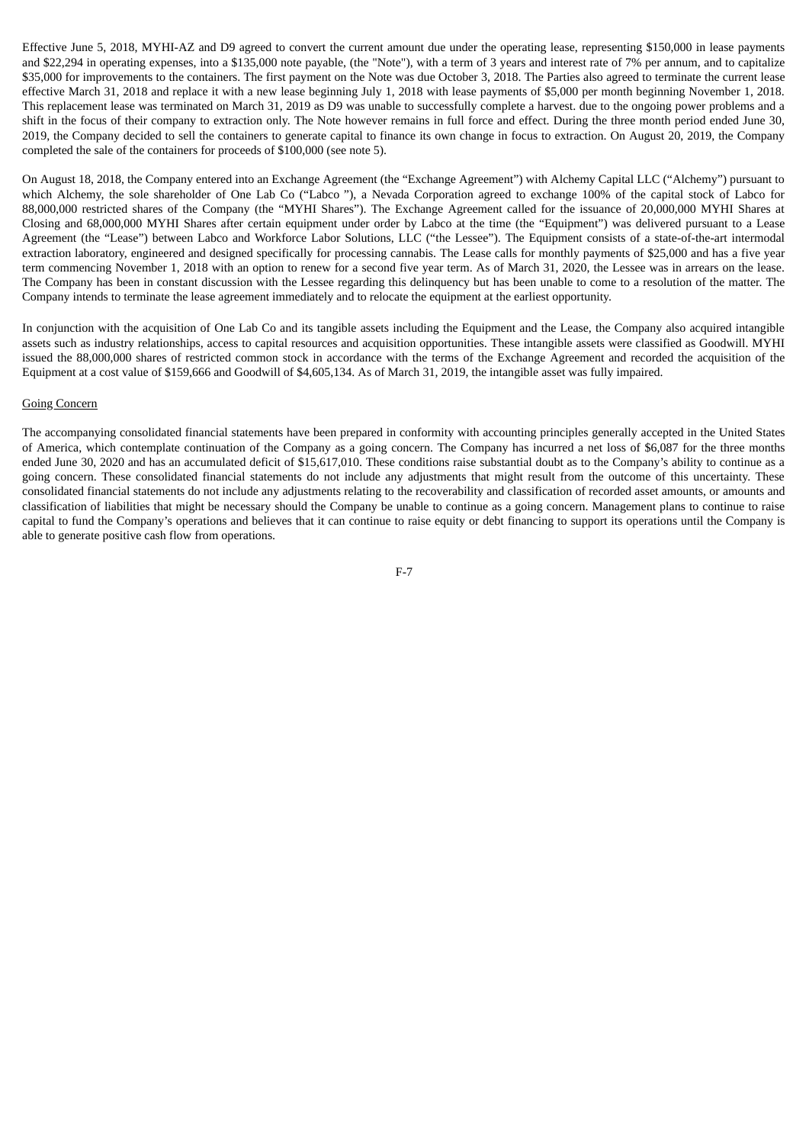Effective June 5, 2018, MYHI-AZ and D9 agreed to convert the current amount due under the operating lease, representing \$150,000 in lease payments and \$22,294 in operating expenses, into a \$135,000 note payable, (the "Note"), with a term of 3 years and interest rate of 7% per annum, and to capitalize \$35,000 for improvements to the containers. The first payment on the Note was due October 3, 2018. The Parties also agreed to terminate the current lease effective March 31, 2018 and replace it with a new lease beginning July 1, 2018 with lease payments of \$5,000 per month beginning November 1, 2018. This replacement lease was terminated on March 31, 2019 as D9 was unable to successfully complete a harvest. due to the ongoing power problems and a shift in the focus of their company to extraction only. The Note however remains in full force and effect. During the three month period ended June 30, 2019, the Company decided to sell the containers to generate capital to finance its own change in focus to extraction. On August 20, 2019, the Company completed the sale of the containers for proceeds of \$100,000 (see note 5).

On August 18, 2018, the Company entered into an Exchange Agreement (the "Exchange Agreement") with Alchemy Capital LLC ("Alchemy") pursuant to which Alchemy, the sole shareholder of One Lab Co ("Labco "), a Nevada Corporation agreed to exchange 100% of the capital stock of Labco for 88,000,000 restricted shares of the Company (the "MYHI Shares"). The Exchange Agreement called for the issuance of 20,000,000 MYHI Shares at Closing and 68,000,000 MYHI Shares after certain equipment under order by Labco at the time (the "Equipment") was delivered pursuant to a Lease Agreement (the "Lease") between Labco and Workforce Labor Solutions, LLC ("the Lessee"). The Equipment consists of a state-of-the-art intermodal extraction laboratory, engineered and designed specifically for processing cannabis. The Lease calls for monthly payments of \$25,000 and has a five year term commencing November 1, 2018 with an option to renew for a second five year term. As of March 31, 2020, the Lessee was in arrears on the lease. The Company has been in constant discussion with the Lessee regarding this delinquency but has been unable to come to a resolution of the matter. The Company intends to terminate the lease agreement immediately and to relocate the equipment at the earliest opportunity.

In conjunction with the acquisition of One Lab Co and its tangible assets including the Equipment and the Lease, the Company also acquired intangible assets such as industry relationships, access to capital resources and acquisition opportunities. These intangible assets were classified as Goodwill. MYHI issued the 88,000,000 shares of restricted common stock in accordance with the terms of the Exchange Agreement and recorded the acquisition of the Equipment at a cost value of \$159,666 and Goodwill of \$4,605,134. As of March 31, 2019, the intangible asset was fully impaired.

#### Going Concern

The accompanying consolidated financial statements have been prepared in conformity with accounting principles generally accepted in the United States of America, which contemplate continuation of the Company as a going concern. The Company has incurred a net loss of \$6,087 for the three months ended June 30, 2020 and has an accumulated deficit of \$15,617,010. These conditions raise substantial doubt as to the Company's ability to continue as a going concern. These consolidated financial statements do not include any adjustments that might result from the outcome of this uncertainty. These consolidated financial statements do not include any adjustments relating to the recoverability and classification of recorded asset amounts, or amounts and classification of liabilities that might be necessary should the Company be unable to continue as a going concern. Management plans to continue to raise capital to fund the Company's operations and believes that it can continue to raise equity or debt financing to support its operations until the Company is able to generate positive cash flow from operations.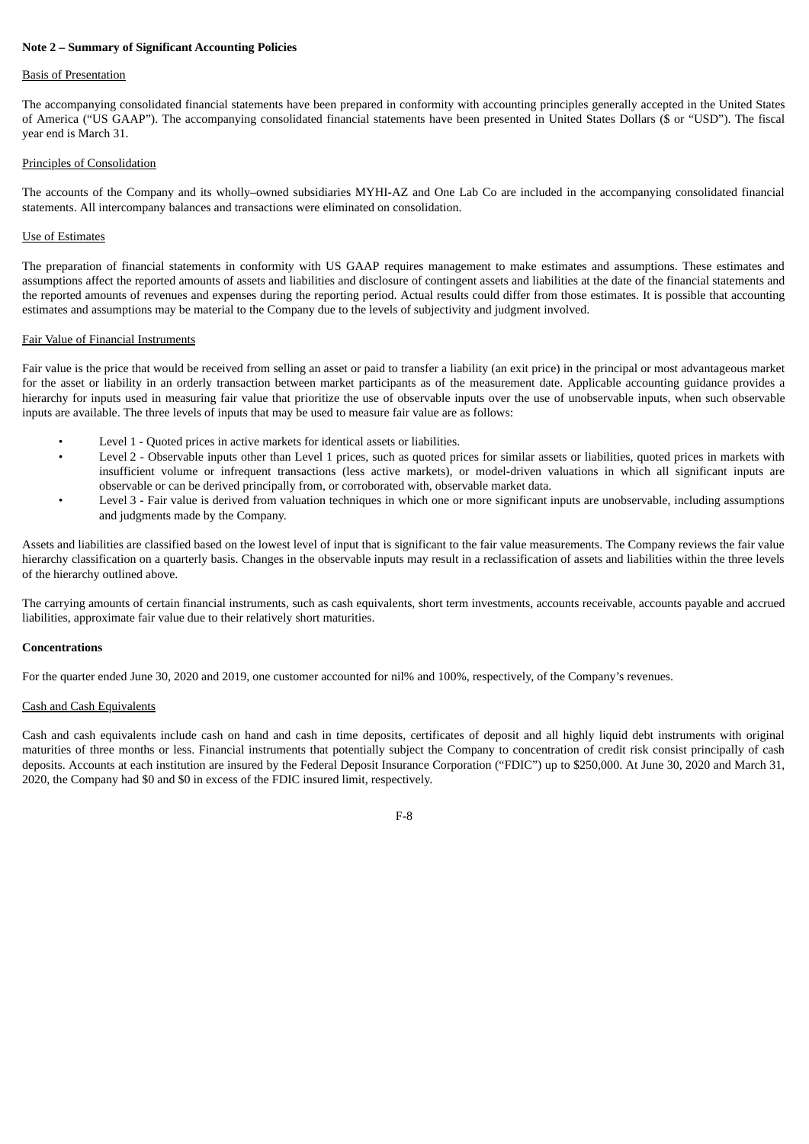### **Note 2 – Summary of Significant Accounting Policies**

#### Basis of Presentation

The accompanying consolidated financial statements have been prepared in conformity with accounting principles generally accepted in the United States of America ("US GAAP"). The accompanying consolidated financial statements have been presented in United States Dollars (\$ or "USD"). The fiscal year end is March 31.

#### Principles of Consolidation

The accounts of the Company and its wholly–owned subsidiaries MYHI-AZ and One Lab Co are included in the accompanying consolidated financial statements. All intercompany balances and transactions were eliminated on consolidation.

#### Use of Estimates

The preparation of financial statements in conformity with US GAAP requires management to make estimates and assumptions. These estimates and assumptions affect the reported amounts of assets and liabilities and disclosure of contingent assets and liabilities at the date of the financial statements and the reported amounts of revenues and expenses during the reporting period. Actual results could differ from those estimates. It is possible that accounting estimates and assumptions may be material to the Company due to the levels of subjectivity and judgment involved.

#### Fair Value of Financial Instruments

Fair value is the price that would be received from selling an asset or paid to transfer a liability (an exit price) in the principal or most advantageous market for the asset or liability in an orderly transaction between market participants as of the measurement date. Applicable accounting guidance provides a hierarchy for inputs used in measuring fair value that prioritize the use of observable inputs over the use of unobservable inputs, when such observable inputs are available. The three levels of inputs that may be used to measure fair value are as follows:

- Level 1 Quoted prices in active markets for identical assets or liabilities.
- Level 2 Observable inputs other than Level 1 prices, such as quoted prices for similar assets or liabilities, quoted prices in markets with insufficient volume or infrequent transactions (less active markets), or model-driven valuations in which all significant inputs are observable or can be derived principally from, or corroborated with, observable market data.
- Level 3 Fair value is derived from valuation techniques in which one or more significant inputs are unobservable, including assumptions and judgments made by the Company.

Assets and liabilities are classified based on the lowest level of input that is significant to the fair value measurements. The Company reviews the fair value hierarchy classification on a quarterly basis. Changes in the observable inputs may result in a reclassification of assets and liabilities within the three levels of the hierarchy outlined above.

The carrying amounts of certain financial instruments, such as cash equivalents, short term investments, accounts receivable, accounts payable and accrued liabilities, approximate fair value due to their relatively short maturities.

### **Concentrations**

For the quarter ended June 30, 2020 and 2019, one customer accounted for nil% and 100%, respectively, of the Company's revenues.

## Cash and Cash Equivalents

Cash and cash equivalents include cash on hand and cash in time deposits, certificates of deposit and all highly liquid debt instruments with original maturities of three months or less. Financial instruments that potentially subject the Company to concentration of credit risk consist principally of cash deposits. Accounts at each institution are insured by the Federal Deposit Insurance Corporation ("FDIC") up to \$250,000. At June 30, 2020 and March 31, 2020, the Company had \$0 and \$0 in excess of the FDIC insured limit, respectively.

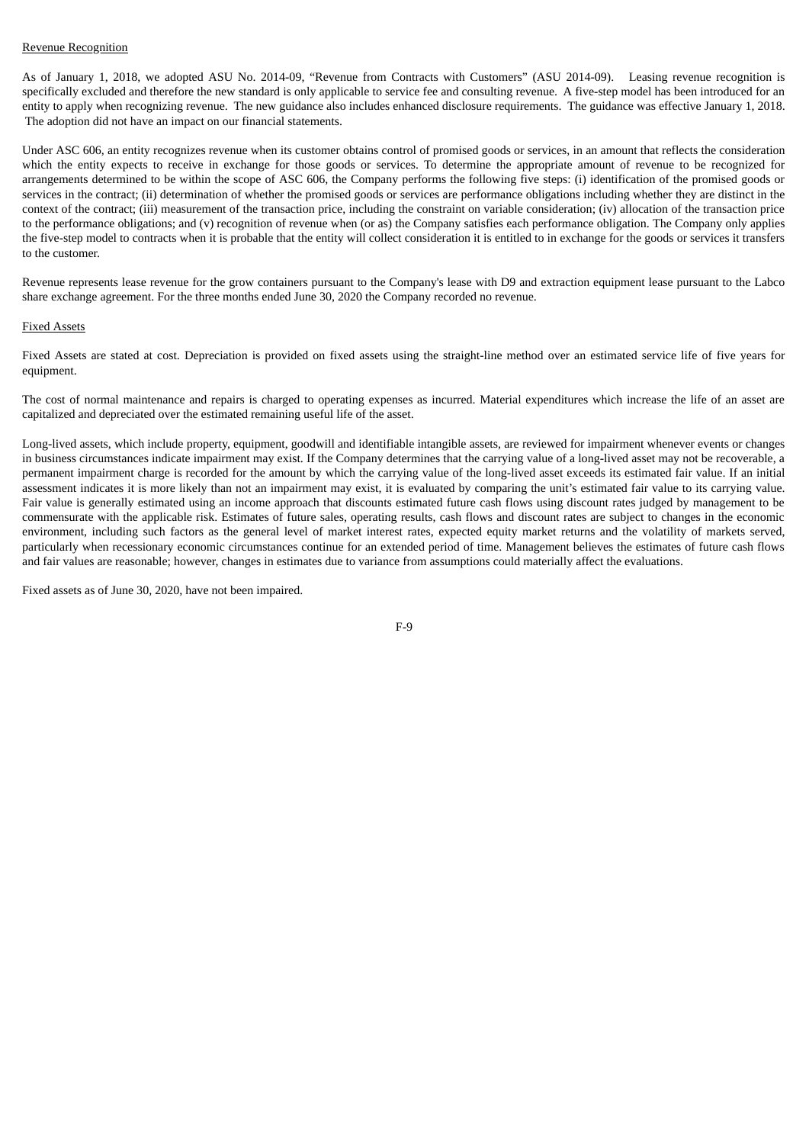#### Revenue Recognition

As of January 1, 2018, we adopted ASU No. 2014-09, "Revenue from Contracts with Customers" (ASU 2014-09). Leasing revenue recognition is specifically excluded and therefore the new standard is only applicable to service fee and consulting revenue. A five-step model has been introduced for an entity to apply when recognizing revenue. The new guidance also includes enhanced disclosure requirements. The guidance was effective January 1, 2018. The adoption did not have an impact on our financial statements.

Under ASC 606, an entity recognizes revenue when its customer obtains control of promised goods or services, in an amount that reflects the consideration which the entity expects to receive in exchange for those goods or services. To determine the appropriate amount of revenue to be recognized for arrangements determined to be within the scope of ASC 606, the Company performs the following five steps: (i) identification of the promised goods or services in the contract; (ii) determination of whether the promised goods or services are performance obligations including whether they are distinct in the context of the contract; (iii) measurement of the transaction price, including the constraint on variable consideration; (iv) allocation of the transaction price to the performance obligations; and (v) recognition of revenue when (or as) the Company satisfies each performance obligation. The Company only applies the five-step model to contracts when it is probable that the entity will collect consideration it is entitled to in exchange for the goods or services it transfers to the customer.

Revenue represents lease revenue for the grow containers pursuant to the Company's lease with D9 and extraction equipment lease pursuant to the Labco share exchange agreement. For the three months ended June 30, 2020 the Company recorded no revenue.

#### Fixed Assets

Fixed Assets are stated at cost. Depreciation is provided on fixed assets using the straight-line method over an estimated service life of five years for equipment.

The cost of normal maintenance and repairs is charged to operating expenses as incurred. Material expenditures which increase the life of an asset are capitalized and depreciated over the estimated remaining useful life of the asset.

Long-lived assets, which include property, equipment, goodwill and identifiable intangible assets, are reviewed for impairment whenever events or changes in business circumstances indicate impairment may exist. If the Company determines that the carrying value of a long-lived asset may not be recoverable, a permanent impairment charge is recorded for the amount by which the carrying value of the long-lived asset exceeds its estimated fair value. If an initial assessment indicates it is more likely than not an impairment may exist, it is evaluated by comparing the unit's estimated fair value to its carrying value. Fair value is generally estimated using an income approach that discounts estimated future cash flows using discount rates judged by management to be commensurate with the applicable risk. Estimates of future sales, operating results, cash flows and discount rates are subject to changes in the economic environment, including such factors as the general level of market interest rates, expected equity market returns and the volatility of markets served, particularly when recessionary economic circumstances continue for an extended period of time. Management believes the estimates of future cash flows and fair values are reasonable; however, changes in estimates due to variance from assumptions could materially affect the evaluations.

Fixed assets as of June 30, 2020, have not been impaired.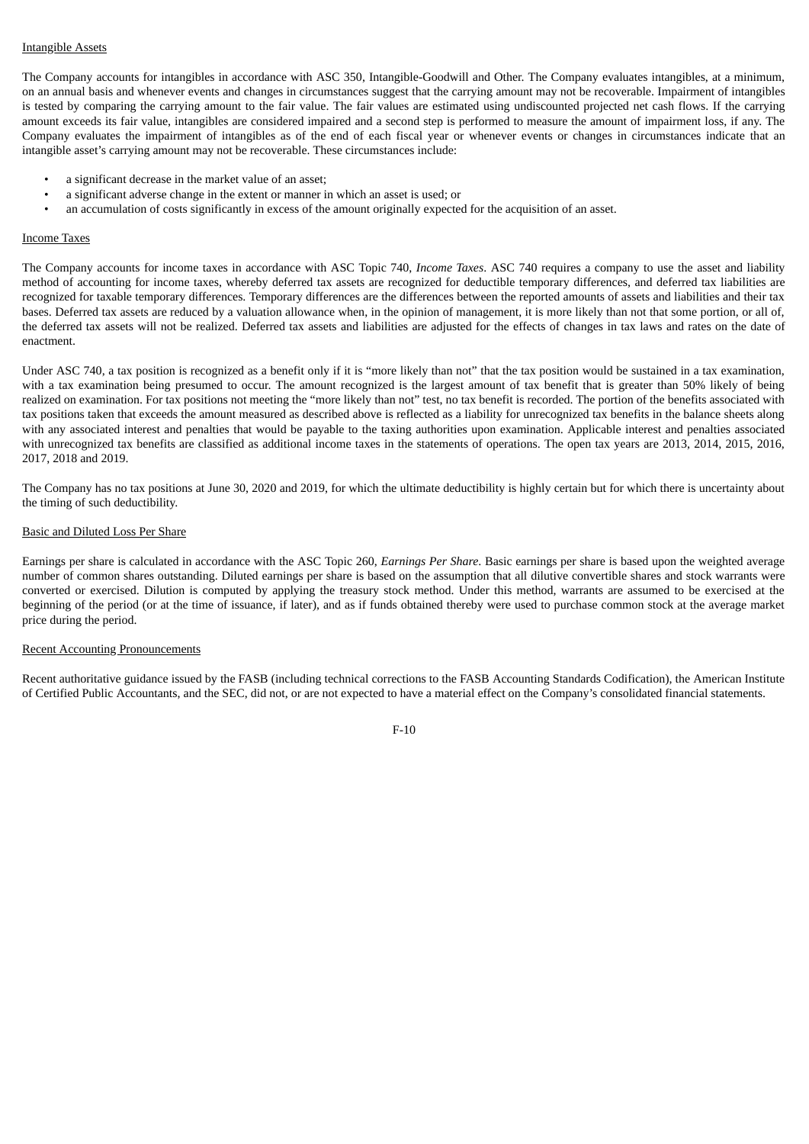# Intangible Assets

The Company accounts for intangibles in accordance with ASC 350, Intangible-Goodwill and Other. The Company evaluates intangibles, at a minimum, on an annual basis and whenever events and changes in circumstances suggest that the carrying amount may not be recoverable. Impairment of intangibles is tested by comparing the carrying amount to the fair value. The fair values are estimated using undiscounted projected net cash flows. If the carrying amount exceeds its fair value, intangibles are considered impaired and a second step is performed to measure the amount of impairment loss, if any. The Company evaluates the impairment of intangibles as of the end of each fiscal year or whenever events or changes in circumstances indicate that an intangible asset's carrying amount may not be recoverable. These circumstances include:

- a significant decrease in the market value of an asset;
- a significant adverse change in the extent or manner in which an asset is used; or
- an accumulation of costs significantly in excess of the amount originally expected for the acquisition of an asset.

#### Income Taxes

The Company accounts for income taxes in accordance with ASC Topic 740, *Income Taxes*. ASC 740 requires a company to use the asset and liability method of accounting for income taxes, whereby deferred tax assets are recognized for deductible temporary differences, and deferred tax liabilities are recognized for taxable temporary differences. Temporary differences are the differences between the reported amounts of assets and liabilities and their tax bases. Deferred tax assets are reduced by a valuation allowance when, in the opinion of management, it is more likely than not that some portion, or all of, the deferred tax assets will not be realized. Deferred tax assets and liabilities are adjusted for the effects of changes in tax laws and rates on the date of enactment.

Under ASC 740, a tax position is recognized as a benefit only if it is "more likely than not" that the tax position would be sustained in a tax examination, with a tax examination being presumed to occur. The amount recognized is the largest amount of tax benefit that is greater than 50% likely of being realized on examination. For tax positions not meeting the "more likely than not" test, no tax benefit is recorded. The portion of the benefits associated with tax positions taken that exceeds the amount measured as described above is reflected as a liability for unrecognized tax benefits in the balance sheets along with any associated interest and penalties that would be payable to the taxing authorities upon examination. Applicable interest and penalties associated with unrecognized tax benefits are classified as additional income taxes in the statements of operations. The open tax years are 2013, 2014, 2015, 2016, 2017, 2018 and 2019.

The Company has no tax positions at June 30, 2020 and 2019, for which the ultimate deductibility is highly certain but for which there is uncertainty about the timing of such deductibility.

### Basic and Diluted Loss Per Share

Earnings per share is calculated in accordance with the ASC Topic 260, *Earnings Per Share*. Basic earnings per share is based upon the weighted average number of common shares outstanding. Diluted earnings per share is based on the assumption that all dilutive convertible shares and stock warrants were converted or exercised. Dilution is computed by applying the treasury stock method. Under this method, warrants are assumed to be exercised at the beginning of the period (or at the time of issuance, if later), and as if funds obtained thereby were used to purchase common stock at the average market price during the period.

#### Recent Accounting Pronouncements

Recent authoritative guidance issued by the FASB (including technical corrections to the FASB Accounting Standards Codification), the American Institute of Certified Public Accountants, and the SEC, did not, or are not expected to have a material effect on the Company's consolidated financial statements.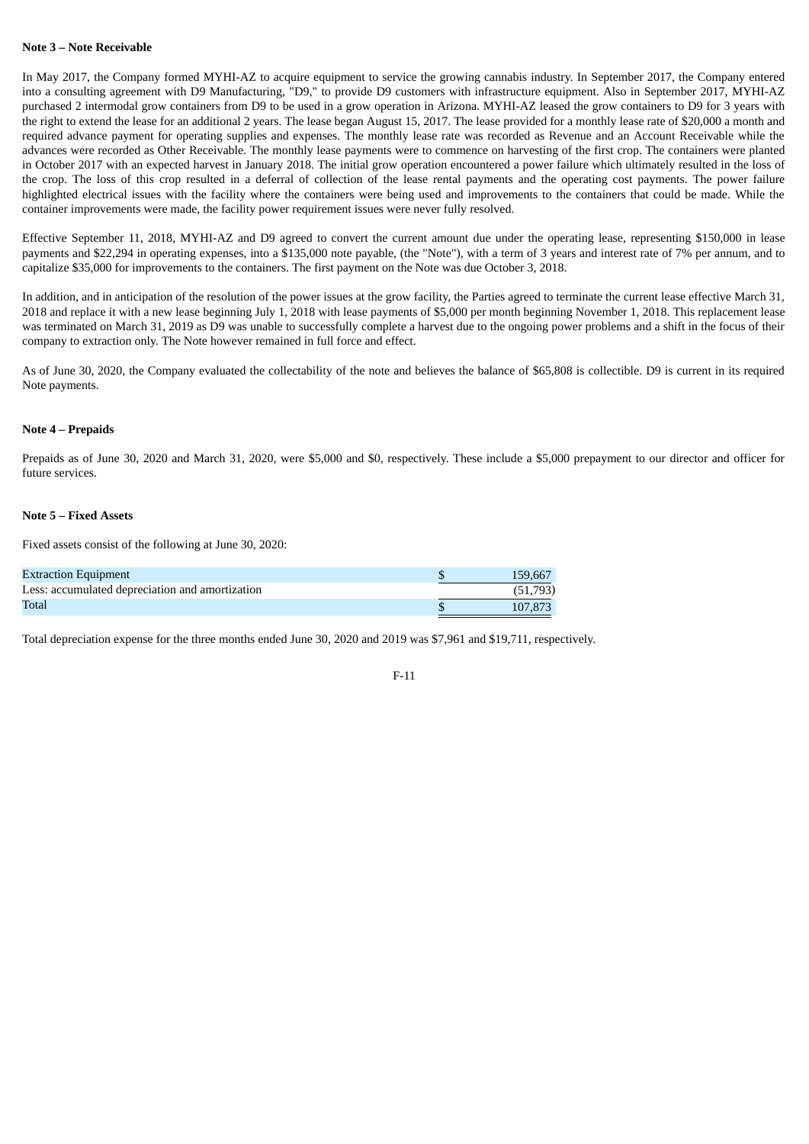# **Note 3 – Note Receivable**

In May 2017, the Company formed MYHI-AZ to acquire equipment to service the growing cannabis industry. In September 2017, the Company entered into a consulting agreement with D9 Manufacturing, "D9," to provide D9 customers with infrastructure equipment. Also in September 2017, MYHI-AZ purchased 2 intermodal grow containers from D9 to be used in a grow operation in Arizona. MYHI-AZ leased the grow containers to D9 for 3 years with the right to extend the lease for an additional 2 years. The lease began August 15, 2017. The lease provided for a monthly lease rate of \$20,000 a month and required advance payment for operating supplies and expenses. The monthly lease rate was recorded as Revenue and an Account Receivable while the advances were recorded as Other Receivable. The monthly lease payments were to commence on harvesting of the first crop. The containers were planted in October 2017 with an expected harvest in January 2018. The initial grow operation encountered a power failure which ultimately resulted in the loss of the crop. The loss of this crop resulted in a deferral of collection of the lease rental payments and the operating cost payments. The power failure highlighted electrical issues with the facility where the containers were being used and improvements to the containers that could be made. While the container improvements were made, the facility power requirement issues were never fully resolved.

Effective September 11, 2018, MYHI-AZ and D9 agreed to convert the current amount due under the operating lease, representing \$150,000 in lease payments and \$22,294 in operating expenses, into a \$135,000 note payable, (the "Note"), with a term of 3 years and interest rate of 7% per annum, and to capitalize \$35,000 for improvements to the containers. The first payment on the Note was due October 3, 2018.

In addition, and in anticipation of the resolution of the power issues at the grow facility, the Parties agreed to terminate the current lease effective March 31, 2018 and replace it with a new lease beginning July 1, 2018 with lease payments of \$5,000 per month beginning November 1, 2018. This replacement lease was terminated on March 31, 2019 as D9 was unable to successfully complete a harvest due to the ongoing power problems and a shift in the focus of their company to extraction only. The Note however remained in full force and effect.

As of June 30, 2020, the Company evaluated the collectability of the note and believes the balance of \$65,808 is collectible. D9 is current in its required Note payments.

## **Note 4 – Prepaids**

Prepaids as of June 30, 2020 and March 31, 2020, were \$5,000 and \$0, respectively. These include a \$5,000 prepayment to our director and officer for future services.

## **Note 5 – Fixed Assets**

Fixed assets consist of the following at June 30, 2020:

| <b>Extraction Equipment</b>                     | 159,667  |
|-------------------------------------------------|----------|
| Less: accumulated depreciation and amortization | (51.793) |
| Total                                           | 107.873  |

Total depreciation expense for the three months ended June 30, 2020 and 2019 was \$7,961 and \$19,711, respectively.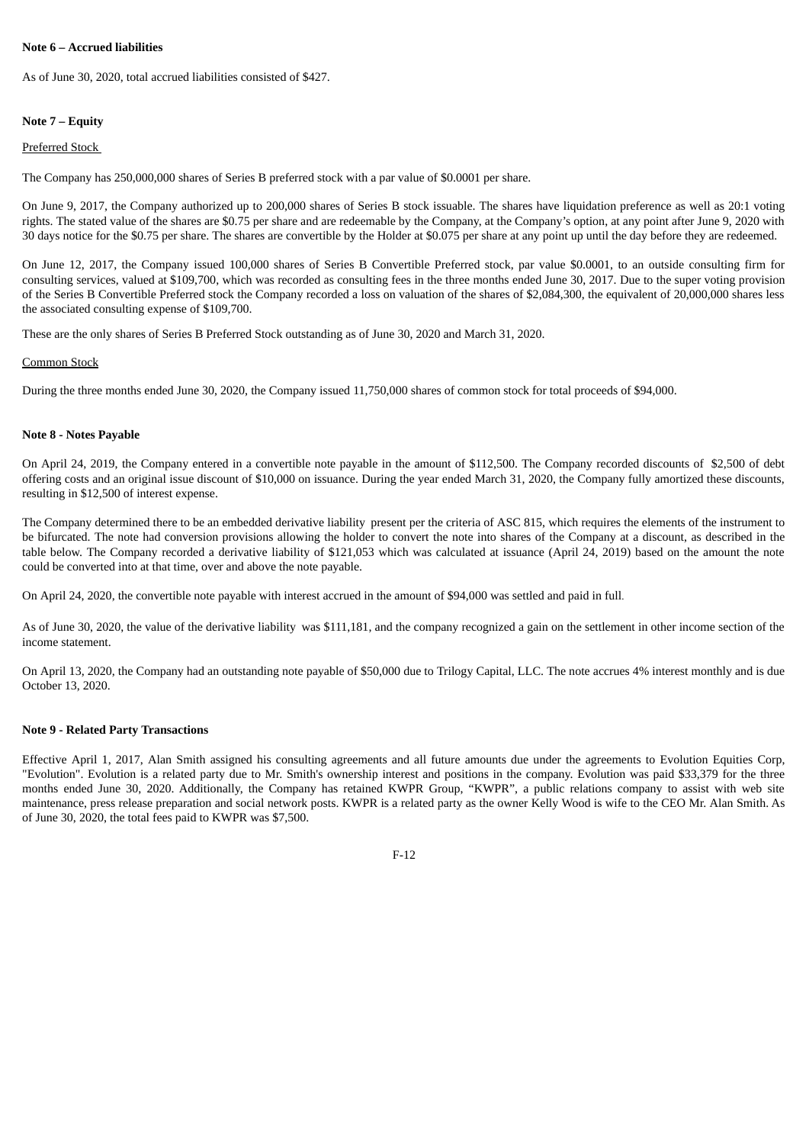## **Note 6 – Accrued liabilities**

As of June 30, 2020, total accrued liabilities consisted of \$427.

# **Note 7 – Equity**

## Preferred Stock

The Company has 250,000,000 shares of Series B preferred stock with a par value of \$0.0001 per share.

On June 9, 2017, the Company authorized up to 200,000 shares of Series B stock issuable. The shares have liquidation preference as well as 20:1 voting rights. The stated value of the shares are \$0.75 per share and are redeemable by the Company, at the Company's option, at any point after June 9, 2020 with 30 days notice for the \$0.75 per share. The shares are convertible by the Holder at \$0.075 per share at any point up until the day before they are redeemed.

On June 12, 2017, the Company issued 100,000 shares of Series B Convertible Preferred stock, par value \$0.0001, to an outside consulting firm for consulting services, valued at \$109,700, which was recorded as consulting fees in the three months ended June 30, 2017. Due to the super voting provision of the Series B Convertible Preferred stock the Company recorded a loss on valuation of the shares of \$2,084,300, the equivalent of 20,000,000 shares less the associated consulting expense of \$109,700.

These are the only shares of Series B Preferred Stock outstanding as of June 30, 2020 and March 31, 2020.

## Common Stock

During the three months ended June 30, 2020, the Company issued 11,750,000 shares of common stock for total proceeds of \$94,000.

## **Note 8 - Notes Payable**

On April 24, 2019, the Company entered in a convertible note payable in the amount of \$112,500. The Company recorded discounts of \$2,500 of debt offering costs and an original issue discount of \$10,000 on issuance. During the year ended March 31, 2020, the Company fully amortized these discounts, resulting in \$12,500 of interest expense.

The Company determined there to be an embedded derivative liability present per the criteria of ASC 815, which requires the elements of the instrument to be bifurcated. The note had conversion provisions allowing the holder to convert the note into shares of the Company at a discount, as described in the table below. The Company recorded a derivative liability of \$121,053 which was calculated at issuance (April 24, 2019) based on the amount the note could be converted into at that time, over and above the note payable.

On April 24, 2020, the convertible note payable with interest accrued in the amount of \$94,000 was settled and paid in full.

As of June 30, 2020, the value of the derivative liability was \$111,181, and the company recognized a gain on the settlement in other income section of the income statement.

On April 13, 2020, the Company had an outstanding note payable of \$50,000 due to Trilogy Capital, LLC. The note accrues 4% interest monthly and is due October 13, 2020.

#### **Note 9 - Related Party Transactions**

Effective April 1, 2017, Alan Smith assigned his consulting agreements and all future amounts due under the agreements to Evolution Equities Corp, "Evolution". Evolution is a related party due to Mr. Smith's ownership interest and positions in the company. Evolution was paid \$33,379 for the three months ended June 30, 2020. Additionally, the Company has retained KWPR Group, "KWPR", a public relations company to assist with web site maintenance, press release preparation and social network posts. KWPR is a related party as the owner Kelly Wood is wife to the CEO Mr. Alan Smith. As of June 30, 2020, the total fees paid to KWPR was \$7,500.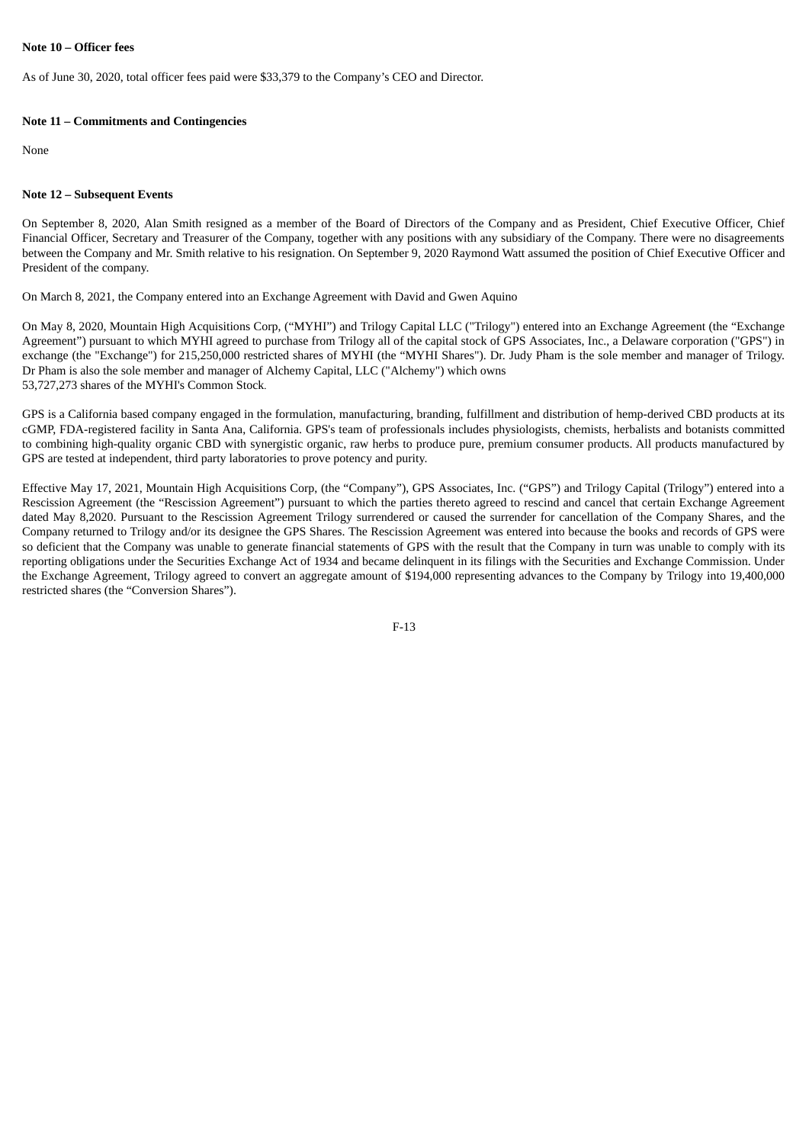# **Note 10 – Officer fees**

As of June 30, 2020, total officer fees paid were \$33,379 to the Company's CEO and Director.

# **Note 11 – Commitments and Contingencies**

None

## **Note 12 – Subsequent Events**

On September 8, 2020, Alan Smith resigned as a member of the Board of Directors of the Company and as President, Chief Executive Officer, Chief Financial Officer, Secretary and Treasurer of the Company, together with any positions with any subsidiary of the Company. There were no disagreements between the Company and Mr. Smith relative to his resignation. On September 9, 2020 Raymond Watt assumed the position of Chief Executive Officer and President of the company.

On March 8, 2021, the Company entered into an Exchange Agreement with David and Gwen Aquino

On May 8, 2020, Mountain High Acquisitions Corp, ("MYHI") and Trilogy Capital LLC ("Trilogy") entered into an Exchange Agreement (the "Exchange Agreement") pursuant to which MYHI agreed to purchase from Trilogy all of the capital stock of GPS Associates, Inc., a Delaware corporation ("GPS") in exchange (the "Exchange") for 215,250,000 restricted shares of MYHI (the "MYHI Shares"). Dr. Judy Pham is the sole member and manager of Trilogy. Dr Pham is also the sole member and manager of Alchemy Capital, LLC ("Alchemy") which owns 53,727,273 shares of the MYHI's Common Stock.

GPS is a California based company engaged in the formulation, manufacturing, branding, fulfillment and distribution of hemp-derived CBD products at its cGMP, FDA-registered facility in Santa Ana, California. GPS's team of professionals includes physiologists, chemists, herbalists and botanists committed to combining high-quality organic CBD with synergistic organic, raw herbs to produce pure, premium consumer products. All products manufactured by GPS are tested at independent, third party laboratories to prove potency and purity.

Effective May 17, 2021, Mountain High Acquisitions Corp, (the "Company"), GPS Associates, Inc. ("GPS") and Trilogy Capital (Trilogy") entered into a Rescission Agreement (the "Rescission Agreement") pursuant to which the parties thereto agreed to rescind and cancel that certain Exchange Agreement dated May 8,2020. Pursuant to the Rescission Agreement Trilogy surrendered or caused the surrender for cancellation of the Company Shares, and the Company returned to Trilogy and/or its designee the GPS Shares. The Rescission Agreement was entered into because the books and records of GPS were so deficient that the Company was unable to generate financial statements of GPS with the result that the Company in turn was unable to comply with its reporting obligations under the Securities Exchange Act of 1934 and became delinquent in its filings with the Securities and Exchange Commission. Under the Exchange Agreement, Trilogy agreed to convert an aggregate amount of \$194,000 representing advances to the Company by Trilogy into 19,400,000 restricted shares (the "Conversion Shares").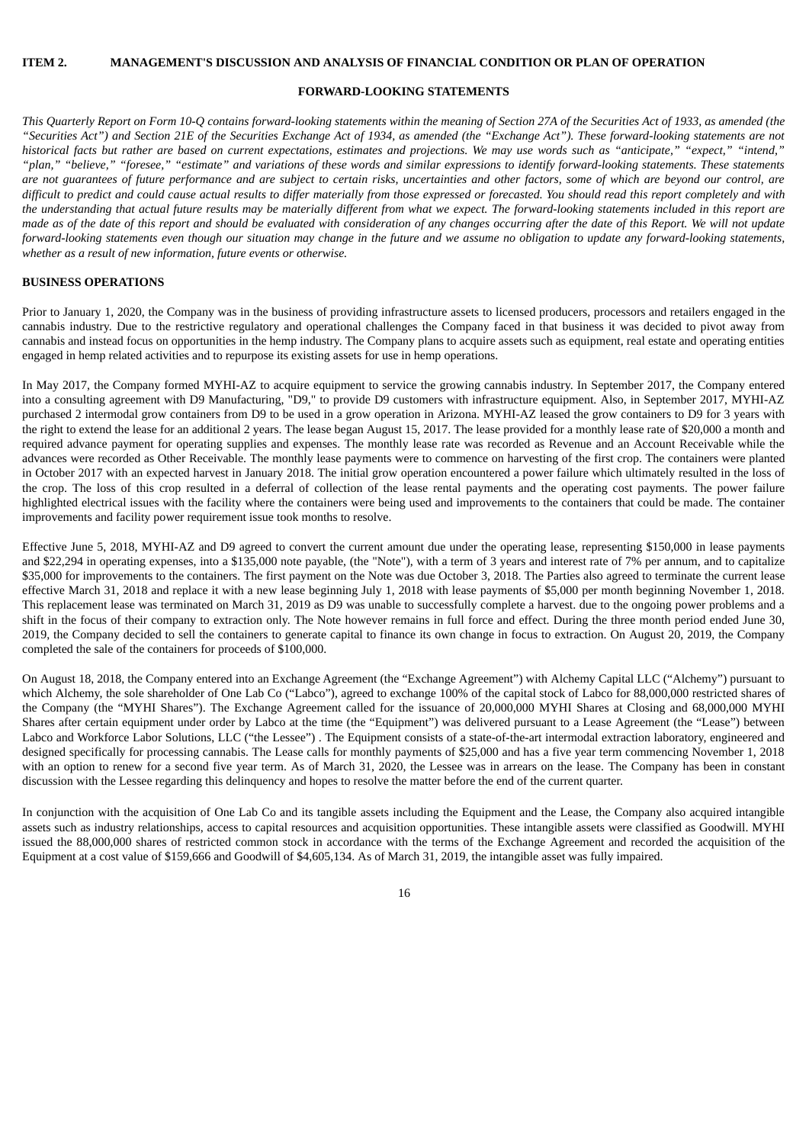**ITEM 2. MANAGEMENT'S DISCUSSION AND ANALYSIS OF FINANCIAL CONDITION OR PLAN OF OPERATION**

## **FORWARD-LOOKING STATEMENTS**

This Quarterly Report on Form 10-Q contains forward-looking statements within the meaning of Section 27A of the Securities Act of 1933, as amended (the "Securities Act") and Section 21E of the Securities Exchange Act of 1934, as amended (the "Exchange Act"). These forward-looking statements are not historical facts but rather are based on current expectations, estimates and projections. We may use words such as "anticipate," "expect," "intend," "plan," "believe," "foresee," "estimate" and variations of these words and similar expressions to identify forward-looking statements. These statements are not augrantees of future performance and are subject to certain risks, uncertainties and other factors, some of which are bevond our control, are difficult to predict and could cause actual results to differ materially from those expressed or forecasted. You should read this report completely and with the understanding that actual future results may be materially different from what we expect. The forward-looking statements included in this report are made as of the date of this report and should be evaluated with consideration of any changes occurring after the date of this Report. We will not update forward-looking statements even though our situation may change in the future and we assume no obligation to update any forward-looking statements, *whether as a result of new information, future events or otherwise.*

## **BUSINESS OPERATIONS**

Prior to January 1, 2020, the Company was in the business of providing infrastructure assets to licensed producers, processors and retailers engaged in the cannabis industry. Due to the restrictive regulatory and operational challenges the Company faced in that business it was decided to pivot away from cannabis and instead focus on opportunities in the hemp industry. The Company plans to acquire assets such as equipment, real estate and operating entities engaged in hemp related activities and to repurpose its existing assets for use in hemp operations.

In May 2017, the Company formed MYHI-AZ to acquire equipment to service the growing cannabis industry. In September 2017, the Company entered into a consulting agreement with D9 Manufacturing, "D9," to provide D9 customers with infrastructure equipment. Also, in September 2017, MYHI-AZ purchased 2 intermodal grow containers from D9 to be used in a grow operation in Arizona. MYHI-AZ leased the grow containers to D9 for 3 years with the right to extend the lease for an additional 2 years. The lease began August 15, 2017. The lease provided for a monthly lease rate of \$20,000 a month and required advance payment for operating supplies and expenses. The monthly lease rate was recorded as Revenue and an Account Receivable while the advances were recorded as Other Receivable. The monthly lease payments were to commence on harvesting of the first crop. The containers were planted in October 2017 with an expected harvest in January 2018. The initial grow operation encountered a power failure which ultimately resulted in the loss of the crop. The loss of this crop resulted in a deferral of collection of the lease rental payments and the operating cost payments. The power failure highlighted electrical issues with the facility where the containers were being used and improvements to the containers that could be made. The container improvements and facility power requirement issue took months to resolve.

Effective June 5, 2018, MYHI-AZ and D9 agreed to convert the current amount due under the operating lease, representing \$150,000 in lease payments and \$22,294 in operating expenses, into a \$135,000 note payable, (the "Note"), with a term of 3 years and interest rate of 7% per annum, and to capitalize \$35,000 for improvements to the containers. The first payment on the Note was due October 3, 2018. The Parties also agreed to terminate the current lease effective March 31, 2018 and replace it with a new lease beginning July 1, 2018 with lease payments of \$5,000 per month beginning November 1, 2018. This replacement lease was terminated on March 31, 2019 as D9 was unable to successfully complete a harvest. due to the ongoing power problems and a shift in the focus of their company to extraction only. The Note however remains in full force and effect. During the three month period ended June 30, 2019, the Company decided to sell the containers to generate capital to finance its own change in focus to extraction. On August 20, 2019, the Company completed the sale of the containers for proceeds of \$100,000.

On August 18, 2018, the Company entered into an Exchange Agreement (the "Exchange Agreement") with Alchemy Capital LLC ("Alchemy") pursuant to which Alchemy, the sole shareholder of One Lab Co ("Labco"), agreed to exchange 100% of the capital stock of Labco for 88,000,000 restricted shares of the Company (the "MYHI Shares"). The Exchange Agreement called for the issuance of 20,000,000 MYHI Shares at Closing and 68,000,000 MYHI Shares after certain equipment under order by Labco at the time (the "Equipment") was delivered pursuant to a Lease Agreement (the "Lease") between Labco and Workforce Labor Solutions, LLC ("the Lessee") . The Equipment consists of a state-of-the-art intermodal extraction laboratory, engineered and designed specifically for processing cannabis. The Lease calls for monthly payments of \$25,000 and has a five year term commencing November 1, 2018 with an option to renew for a second five year term. As of March 31, 2020, the Lessee was in arrears on the lease. The Company has been in constant discussion with the Lessee regarding this delinquency and hopes to resolve the matter before the end of the current quarter.

In conjunction with the acquisition of One Lab Co and its tangible assets including the Equipment and the Lease, the Company also acquired intangible assets such as industry relationships, access to capital resources and acquisition opportunities. These intangible assets were classified as Goodwill. MYHI issued the 88,000,000 shares of restricted common stock in accordance with the terms of the Exchange Agreement and recorded the acquisition of the Equipment at a cost value of \$159,666 and Goodwill of \$4,605,134. As of March 31, 2019, the intangible asset was fully impaired.

16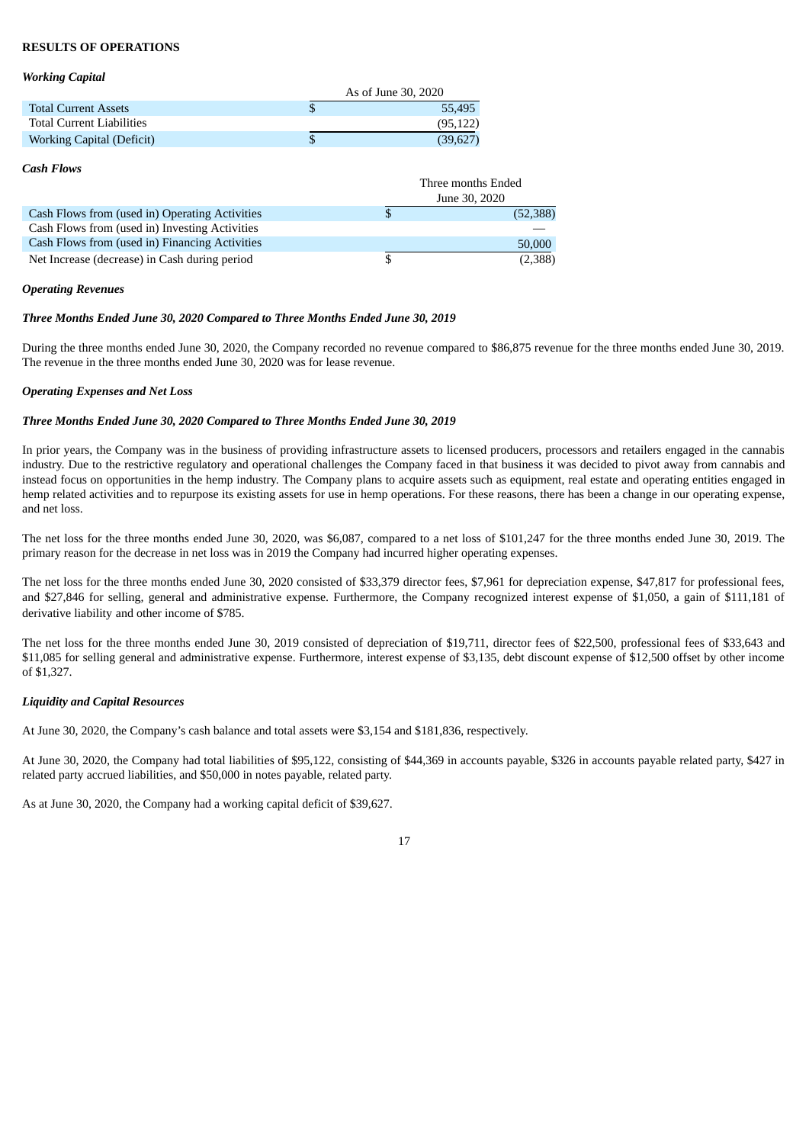# **RESULTS OF OPERATIONS**

#### *Working Capital*

|                                  | As of June 30, 2020 |
|----------------------------------|---------------------|
| <b>Total Current Assets</b>      | 55.495              |
| <b>Total Current Liabilities</b> | (95.122)            |
| <b>Working Capital (Deficit)</b> | (39,627             |

### *Cash Flows*

|                                                | Three months Ended |               |
|------------------------------------------------|--------------------|---------------|
|                                                |                    | June 30, 2020 |
| Cash Flows from (used in) Operating Activities |                    | (52, 388)     |
| Cash Flows from (used in) Investing Activities |                    |               |
| Cash Flows from (used in) Financing Activities |                    | 50,000        |
| Net Increase (decrease) in Cash during period  |                    | (2,388)       |

## *Operating Revenues*

## *Three Months Ended June 30, 2020 Compared to Three Months Ended June 30, 2019*

During the three months ended June 30, 2020, the Company recorded no revenue compared to \$86,875 revenue for the three months ended June 30, 2019. The revenue in the three months ended June 30, 2020 was for lease revenue.

#### *Operating Expenses and Net Loss*

#### *Three Months Ended June 30, 2020 Compared to Three Months Ended June 30, 2019*

In prior years, the Company was in the business of providing infrastructure assets to licensed producers, processors and retailers engaged in the cannabis industry. Due to the restrictive regulatory and operational challenges the Company faced in that business it was decided to pivot away from cannabis and instead focus on opportunities in the hemp industry. The Company plans to acquire assets such as equipment, real estate and operating entities engaged in hemp related activities and to repurpose its existing assets for use in hemp operations. For these reasons, there has been a change in our operating expense, and net loss.

The net loss for the three months ended June 30, 2020, was \$6,087, compared to a net loss of \$101,247 for the three months ended June 30, 2019. The primary reason for the decrease in net loss was in 2019 the Company had incurred higher operating expenses.

The net loss for the three months ended June 30, 2020 consisted of \$33,379 director fees, \$7,961 for depreciation expense, \$47,817 for professional fees, and \$27,846 for selling, general and administrative expense. Furthermore, the Company recognized interest expense of \$1,050, a gain of \$111,181 of derivative liability and other income of \$785.

The net loss for the three months ended June 30, 2019 consisted of depreciation of \$19,711, director fees of \$22,500, professional fees of \$33,643 and \$11,085 for selling general and administrative expense. Furthermore, interest expense of \$3,135, debt discount expense of \$12,500 offset by other income of \$1,327.

#### *Liquidity and Capital Resources*

At June 30, 2020, the Company's cash balance and total assets were \$3,154 and \$181,836, respectively.

At June 30, 2020, the Company had total liabilities of \$95,122, consisting of \$44,369 in accounts payable, \$326 in accounts payable related party, \$427 in related party accrued liabilities, and \$50,000 in notes payable, related party.

As at June 30, 2020, the Company had a working capital deficit of \$39,627.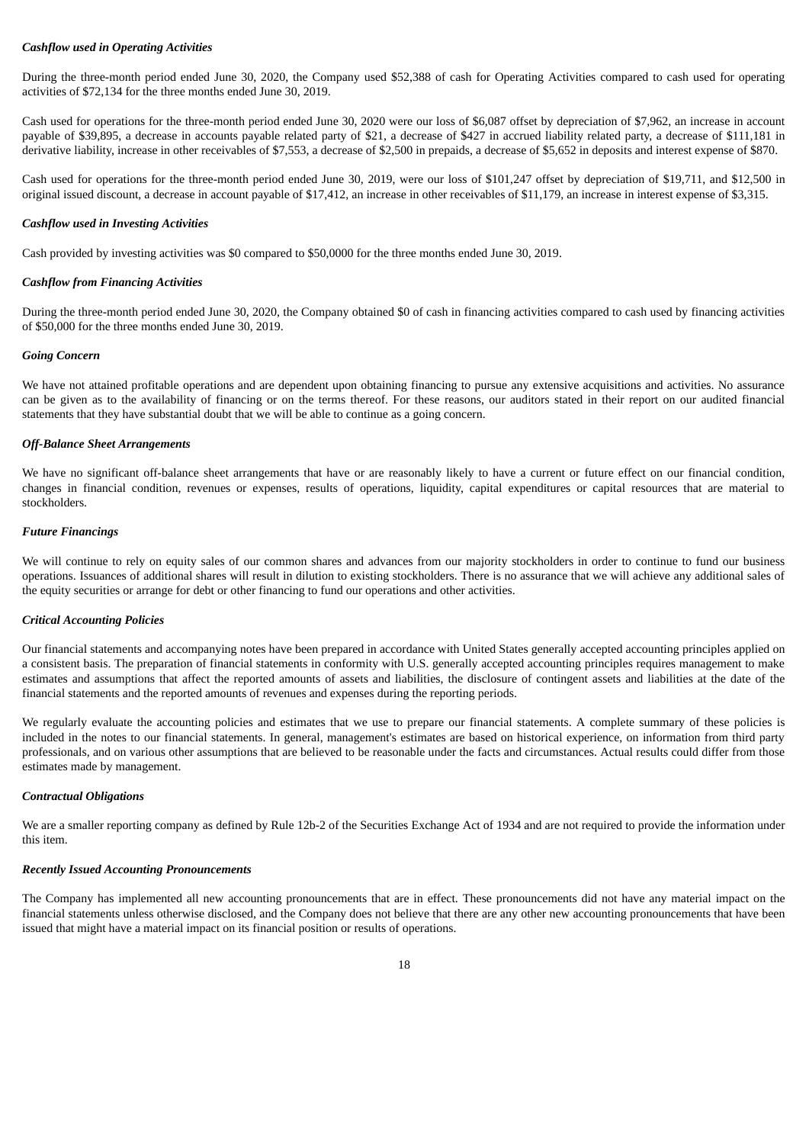#### *Cashflow used in Operating Activities*

During the three-month period ended June 30, 2020, the Company used \$52,388 of cash for Operating Activities compared to cash used for operating activities of \$72,134 for the three months ended June 30, 2019.

Cash used for operations for the three-month period ended June 30, 2020 were our loss of \$6,087 offset by depreciation of \$7,962, an increase in account payable of \$39,895, a decrease in accounts payable related party of \$21, a decrease of \$427 in accrued liability related party, a decrease of \$111,181 in derivative liability, increase in other receivables of \$7,553, a decrease of \$2,500 in prepaids, a decrease of \$5,652 in deposits and interest expense of \$870.

Cash used for operations for the three-month period ended June 30, 2019, were our loss of \$101,247 offset by depreciation of \$19,711, and \$12,500 in original issued discount, a decrease in account payable of \$17,412, an increase in other receivables of \$11,179, an increase in interest expense of \$3,315.

#### *Cashflow used in Investing Activities*

Cash provided by investing activities was \$0 compared to \$50,0000 for the three months ended June 30, 2019.

#### *Cashflow from Financing Activities*

During the three-month period ended June 30, 2020, the Company obtained \$0 of cash in financing activities compared to cash used by financing activities of \$50,000 for the three months ended June 30, 2019.

#### *Going Concern*

We have not attained profitable operations and are dependent upon obtaining financing to pursue any extensive acquisitions and activities. No assurance can be given as to the availability of financing or on the terms thereof. For these reasons, our auditors stated in their report on our audited financial statements that they have substantial doubt that we will be able to continue as a going concern.

#### *Off-Balance Sheet Arrangements*

We have no significant off-balance sheet arrangements that have or are reasonably likely to have a current or future effect on our financial condition, changes in financial condition, revenues or expenses, results of operations, liquidity, capital expenditures or capital resources that are material to stockholders.

#### *Future Financings*

We will continue to rely on equity sales of our common shares and advances from our majority stockholders in order to continue to fund our business operations. Issuances of additional shares will result in dilution to existing stockholders. There is no assurance that we will achieve any additional sales of the equity securities or arrange for debt or other financing to fund our operations and other activities.

#### *Critical Accounting Policies*

Our financial statements and accompanying notes have been prepared in accordance with United States generally accepted accounting principles applied on a consistent basis. The preparation of financial statements in conformity with U.S. generally accepted accounting principles requires management to make estimates and assumptions that affect the reported amounts of assets and liabilities, the disclosure of contingent assets and liabilities at the date of the financial statements and the reported amounts of revenues and expenses during the reporting periods.

We regularly evaluate the accounting policies and estimates that we use to prepare our financial statements. A complete summary of these policies is included in the notes to our financial statements. In general, management's estimates are based on historical experience, on information from third party professionals, and on various other assumptions that are believed to be reasonable under the facts and circumstances. Actual results could differ from those estimates made by management.

#### *Contractual Obligations*

We are a smaller reporting company as defined by Rule 12b-2 of the Securities Exchange Act of 1934 and are not required to provide the information under this item.

## *Recently Issued Accounting Pronouncements*

The Company has implemented all new accounting pronouncements that are in effect. These pronouncements did not have any material impact on the financial statements unless otherwise disclosed, and the Company does not believe that there are any other new accounting pronouncements that have been issued that might have a material impact on its financial position or results of operations.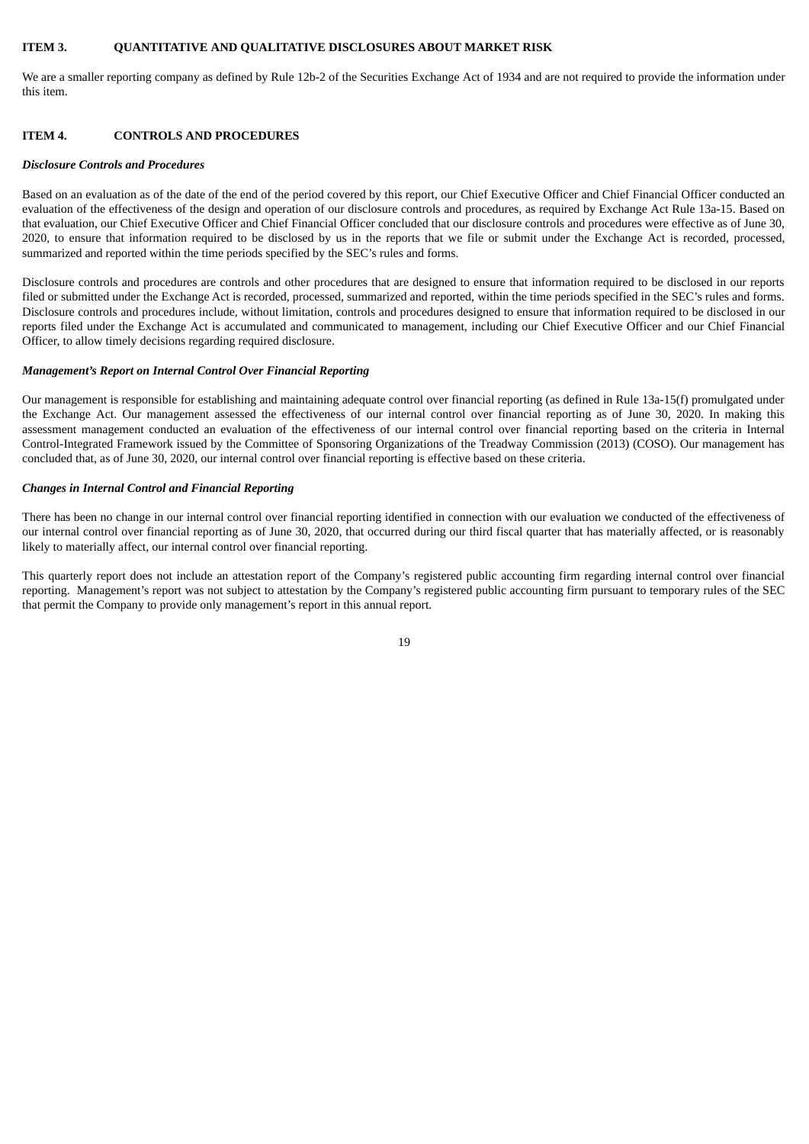### **ITEM 3. QUANTITATIVE AND QUALITATIVE DISCLOSURES ABOUT MARKET RISK**

We are a smaller reporting company as defined by Rule 12b-2 of the Securities Exchange Act of 1934 and are not required to provide the information under this item.

# **ITEM 4. CONTROLS AND PROCEDURES**

## *Disclosure Controls and Procedures*

Based on an evaluation as of the date of the end of the period covered by this report, our Chief Executive Officer and Chief Financial Officer conducted an evaluation of the effectiveness of the design and operation of our disclosure controls and procedures, as required by Exchange Act Rule 13a-15. Based on that evaluation, our Chief Executive Officer and Chief Financial Officer concluded that our disclosure controls and procedures were effective as of June 30, 2020, to ensure that information required to be disclosed by us in the reports that we file or submit under the Exchange Act is recorded, processed, summarized and reported within the time periods specified by the SEC's rules and forms.

Disclosure controls and procedures are controls and other procedures that are designed to ensure that information required to be disclosed in our reports filed or submitted under the Exchange Act is recorded, processed, summarized and reported, within the time periods specified in the SEC's rules and forms. Disclosure controls and procedures include, without limitation, controls and procedures designed to ensure that information required to be disclosed in our reports filed under the Exchange Act is accumulated and communicated to management, including our Chief Executive Officer and our Chief Financial Officer, to allow timely decisions regarding required disclosure.

#### *Management's Report on Internal Control Over Financial Reporting*

Our management is responsible for establishing and maintaining adequate control over financial reporting (as defined in Rule 13a-15(f) promulgated under the Exchange Act. Our management assessed the effectiveness of our internal control over financial reporting as of June 30, 2020. In making this assessment management conducted an evaluation of the effectiveness of our internal control over financial reporting based on the criteria in Internal Control-Integrated Framework issued by the Committee of Sponsoring Organizations of the Treadway Commission (2013) (COSO). Our management has concluded that, as of June 30, 2020, our internal control over financial reporting is effective based on these criteria.

#### *Changes in Internal Control and Financial Reporting*

There has been no change in our internal control over financial reporting identified in connection with our evaluation we conducted of the effectiveness of our internal control over financial reporting as of June 30, 2020, that occurred during our third fiscal quarter that has materially affected, or is reasonably likely to materially affect, our internal control over financial reporting.

This quarterly report does not include an attestation report of the Company's registered public accounting firm regarding internal control over financial reporting. Management's report was not subject to attestation by the Company's registered public accounting firm pursuant to temporary rules of the SEC that permit the Company to provide only management's report in this annual report.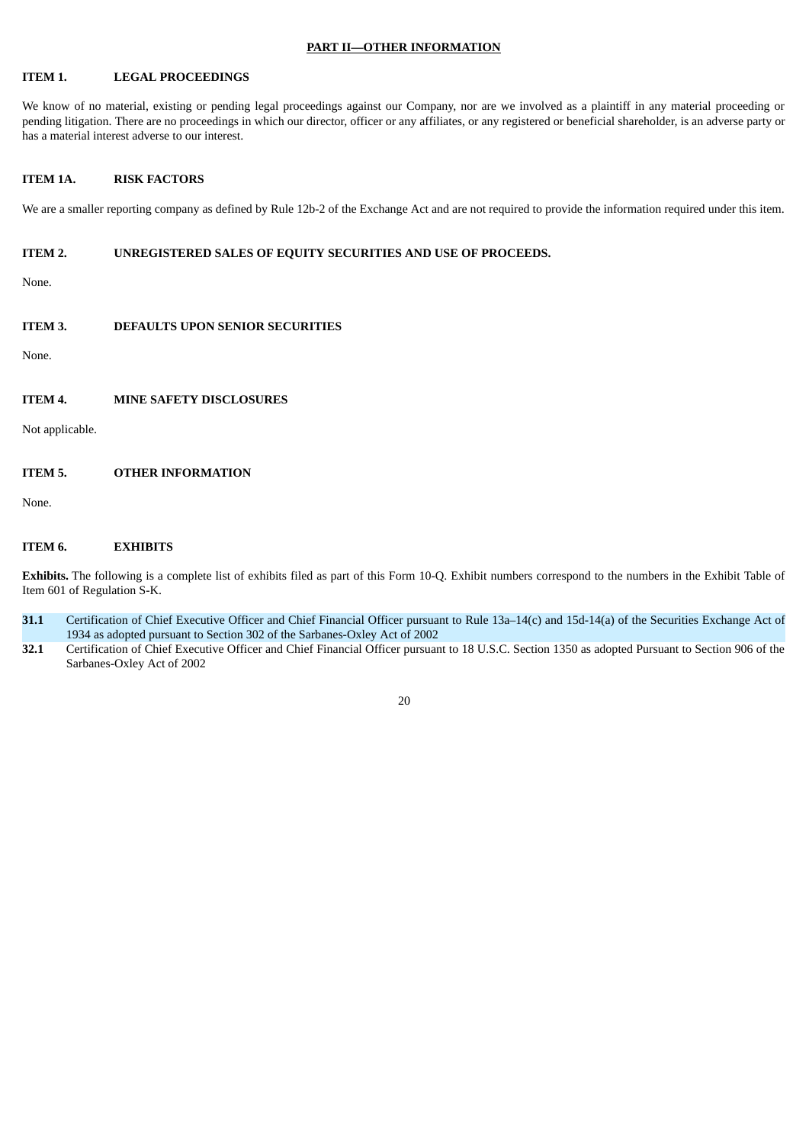## **PART II—OTHER INFORMATION**

### **ITEM 1. LEGAL PROCEEDINGS**

We know of no material, existing or pending legal proceedings against our Company, nor are we involved as a plaintiff in any material proceeding or pending litigation. There are no proceedings in which our director, officer or any affiliates, or any registered or beneficial shareholder, is an adverse party or has a material interest adverse to our interest.

#### **ITEM 1A. RISK FACTORS**

We are a smaller reporting company as defined by Rule 12b-2 of the Exchange Act and are not required to provide the information required under this item.

# **ITEM 2. UNREGISTERED SALES OF EQUITY SECURITIES AND USE OF PROCEEDS.**

None.

# **ITEM 3. DEFAULTS UPON SENIOR SECURITIES**

None.

## **ITEM 4. MINE SAFETY DISCLOSURES**

Not applicable.

# **ITEM 5. OTHER INFORMATION**

None.

# **ITEM 6. EXHIBITS**

**Exhibits.** The following is a complete list of exhibits filed as part of this Form 10-Q. Exhibit numbers correspond to the numbers in the Exhibit Table of Item 601 of Regulation S-K.

- **31.1** Certification of Chief Executive Officer and Chief Financial Officer pursuant to Rule 13a–14(c) and 15d-14(a) of the Securities Exchange Act of 1934 as adopted pursuant to Section 302 of the Sarbanes-Oxley Act of 2002
- **32.1** Certification of Chief Executive Officer and Chief Financial Officer pursuant to 18 U.S.C. Section 1350 as adopted Pursuant to Section 906 of the Sarbanes-Oxley Act of 2002

20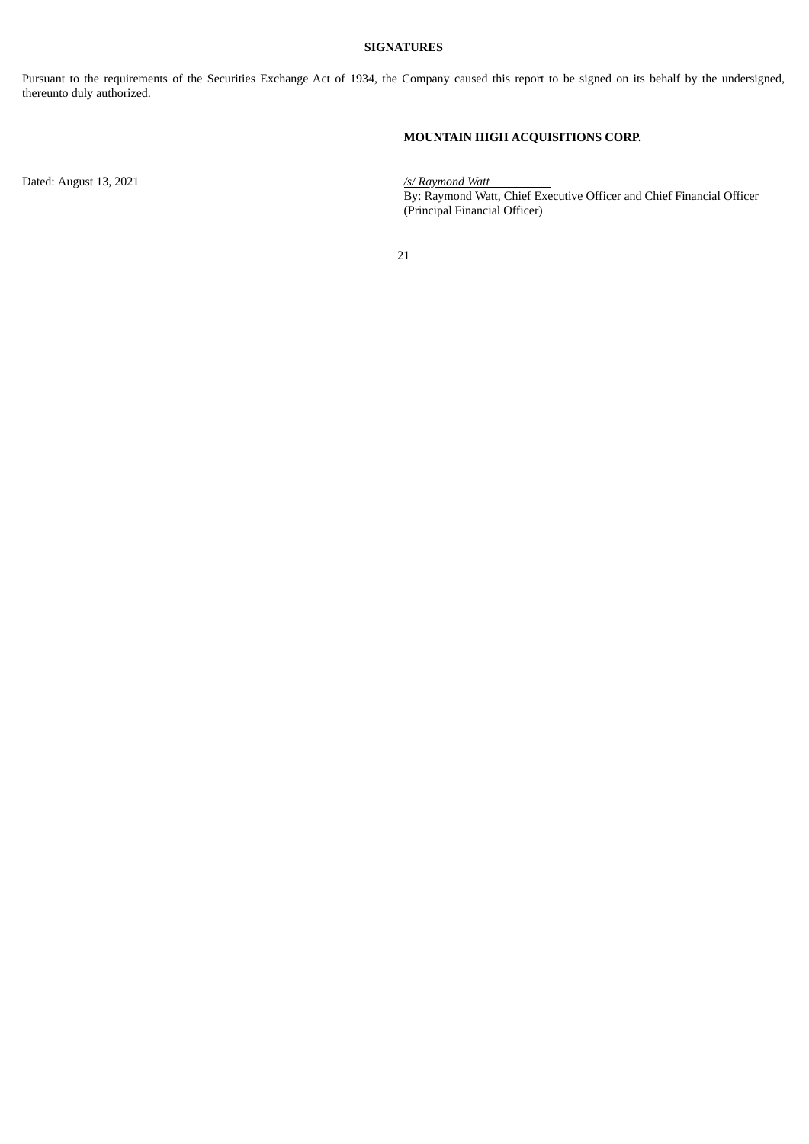# **SIGNATURES**

Pursuant to the requirements of the Securities Exchange Act of 1934, the Company caused this report to be signed on its behalf by the undersigned, thereunto duly authorized.

# **MOUNTAIN HIGH ACQUISITIONS CORP.**

Dated: August 13, 2021 */s/ Raymond Watt*

By: Raymond Watt, Chief Executive Officer and Chief Financial Officer (Principal Financial Officer)

21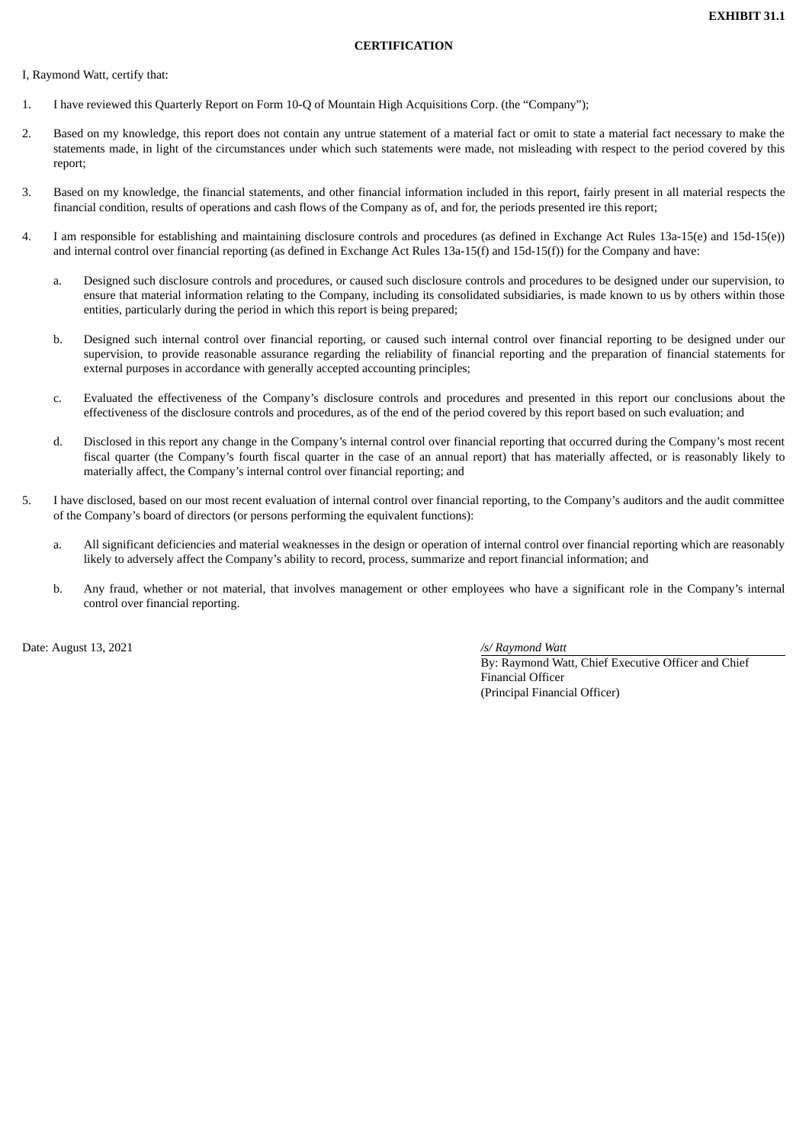## **CERTIFICATION**

I, Raymond Watt, certify that:

- 1. I have reviewed this Quarterly Report on Form 10-Q of Mountain High Acquisitions Corp. (the "Company");
- 2. Based on my knowledge, this report does not contain any untrue statement of a material fact or omit to state a material fact necessary to make the statements made, in light of the circumstances under which such statements were made, not misleading with respect to the period covered by this report;
- 3. Based on my knowledge, the financial statements, and other financial information included in this report, fairly present in all material respects the financial condition, results of operations and cash flows of the Company as of, and for, the periods presented ire this report;
- 4. I am responsible for establishing and maintaining disclosure controls and procedures (as defined in Exchange Act Rules 13a-15(e) and 15d-15(e)) and internal control over financial reporting (as defined in Exchange Act Rules 13a-15(f) and 15d-15(f)) for the Company and have:
	- a. Designed such disclosure controls and procedures, or caused such disclosure controls and procedures to be designed under our supervision, to ensure that material information relating to the Company, including its consolidated subsidiaries, is made known to us by others within those entities, particularly during the period in which this report is being prepared;
	- b. Designed such internal control over financial reporting, or caused such internal control over financial reporting to be designed under our supervision, to provide reasonable assurance regarding the reliability of financial reporting and the preparation of financial statements for external purposes in accordance with generally accepted accounting principles;
	- c. Evaluated the effectiveness of the Company's disclosure controls and procedures and presented in this report our conclusions about the effectiveness of the disclosure controls and procedures, as of the end of the period covered by this report based on such evaluation; and
	- d. Disclosed in this report any change in the Company's internal control over financial reporting that occurred during the Company's most recent fiscal quarter (the Company's fourth fiscal quarter in the case of an annual report) that has materially affected, or is reasonably likely to materially affect, the Company's internal control over financial reporting; and
- 5. I have disclosed, based on our most recent evaluation of internal control over financial reporting, to the Company's auditors and the audit committee of the Company's board of directors (or persons performing the equivalent functions):
	- a. All significant deficiencies and material weaknesses in the design or operation of internal control over financial reporting which are reasonably likely to adversely affect the Company's ability to record, process, summarize and report financial information; and
	- b. Any fraud, whether or not material, that involves management or other employees who have a significant role in the Company's internal control over financial reporting.

Date: August 13, 2021 */s/ Raymond Watt*

By: Raymond Watt, Chief Executive Officer and Chief Financial Officer (Principal Financial Officer)